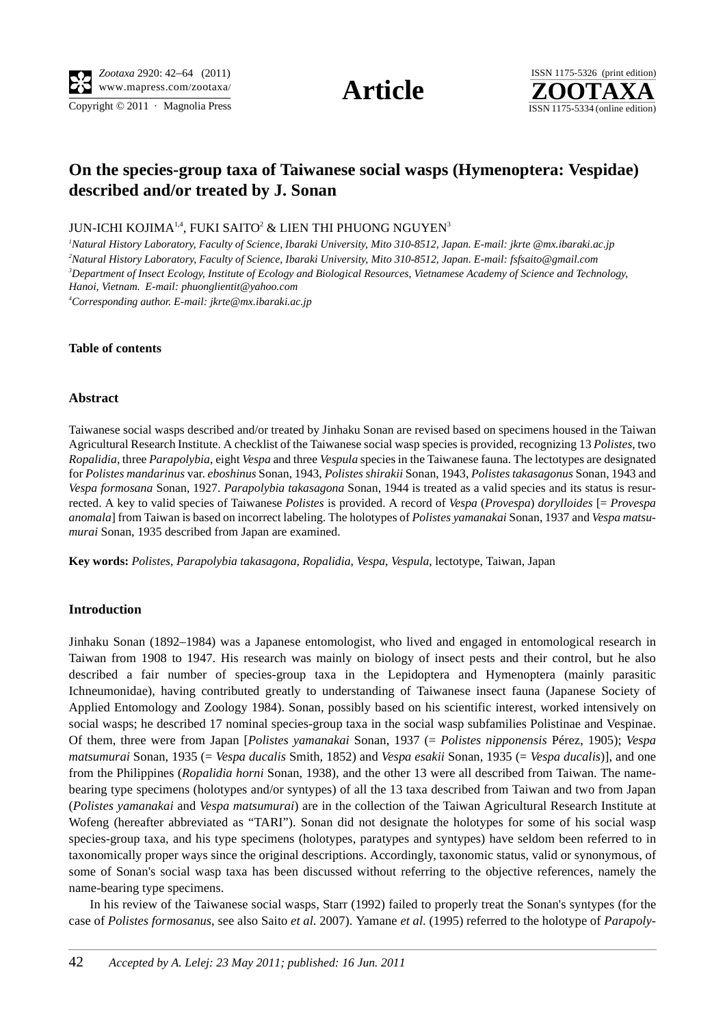Copyright  $\odot$  2011 · Magnolia Press ISSN 1175-5334 (online edition)





# **On the species-group taxa of Taiwanese social wasps (Hymenoptera: Vespidae) described and/or treated by J. Sonan**

### JUN-ICHI KOJIMA $^{1,4}$ , FUKI SAITO $^2$  & LIEN THI PHUONG NGUYEN $^3$

 *Natural History Laboratory, Faculty of Science, Ibaraki University, Mito 310-8512, Japan. E-mail: jkrte @mx.ibaraki.ac.jp Natural History Laboratory, Faculty of Science, Ibaraki University, Mito 310-8512, Japan. E-mail: fsfsaito@gmail.com Department of Insect Ecology, Institute of Ecology and Biological Resources, Vietnamese Academy of Science and Technology, Hanoi, Vietnam. E-mail: phuonglientit@yahoo.com*

*4 Corresponding author. E-mail: jkrte@mx.ibaraki.ac.jp*

#### **Table of contents**

#### **Abstract**

Taiwanese social wasps described and/or treated by Jinhaku Sonan are revised based on specimens housed in the Taiwan Agricultural Research Institute. A checklist of the Taiwanese social wasp species is provided, recognizing 13 *Polistes*, two *Ropalidia*, three *Parapolybia*, eight *Vespa* and three *Vespula* species in the Taiwanese fauna. The lectotypes are designated for *Polistes mandarinus* var. *eboshinus* Sonan, 1943, *Polistes shirakii* Sonan, 1943, *Polistes takasagonus* Sonan, 1943 and *Vespa formosana* Sonan, 1927. *Parapolybia takasagona* Sonan, 1944 is treated as a valid species and its status is resurrected. A key to valid species of Taiwanese *Polistes* is provided. A record of *Vespa* (*Provespa*) *dorylloides* [= *Provespa anomala*] from Taiwan is based on incorrect labeling. The holotypes of *Polistes yamanakai* Sonan, 1937 and *Vespa matsumurai* Sonan, 1935 described from Japan are examined.

**Key words:** *Polistes*, *Parapolybia takasagona*, *Ropalidia*, *Vespa*, *Vespula*, lectotype, Taiwan, Japan

### **Introduction**

Jinhaku Sonan (1892–1984) was a Japanese entomologist, who lived and engaged in entomological research in Taiwan from 1908 to 1947. His research was mainly on biology of insect pests and their control, but he also described a fair number of species-group taxa in the Lepidoptera and Hymenoptera (mainly parasitic Ichneumonidae), having contributed greatly to understanding of Taiwanese insect fauna (Japanese Society of Applied Entomology and Zoology 1984). Sonan, possibly based on his scientific interest, worked intensively on social wasps; he described 17 nominal species-group taxa in the social wasp subfamilies Polistinae and Vespinae. Of them, three were from Japan [*Polistes yamanakai* Sonan, 1937 (= *Polistes nipponensis* Pérez, 1905); *Vespa matsumurai* Sonan, 1935 (= *Vespa ducalis* Smith, 1852) and *Vespa esakii* Sonan, 1935 (= *Vespa ducalis*)], and one from the Philippines (*Ropalidia horni* Sonan, 1938), and the other 13 were all described from Taiwan. The namebearing type specimens (holotypes and/or syntypes) of all the 13 taxa described from Taiwan and two from Japan (*Polistes yamanakai* and *Vespa matsumurai*) are in the collection of the Taiwan Agricultural Research Institute at Wofeng (hereafter abbreviated as "TARI"). Sonan did not designate the holotypes for some of his social wasp species-group taxa, and his type specimens (holotypes, paratypes and syntypes) have seldom been referred to in taxonomically proper ways since the original descriptions. Accordingly, taxonomic status, valid or synonymous, of some of Sonan's social wasp taxa has been discussed without referring to the objective references, namely the name-bearing type specimens.

In his review of the Taiwanese social wasps, Starr (1992) failed to properly treat the Sonan's syntypes (for the case of *Polistes formosanus*, see also Saito *et al*. 2007). Yamane *et al*. (1995) referred to the holotype of *Parapoly-*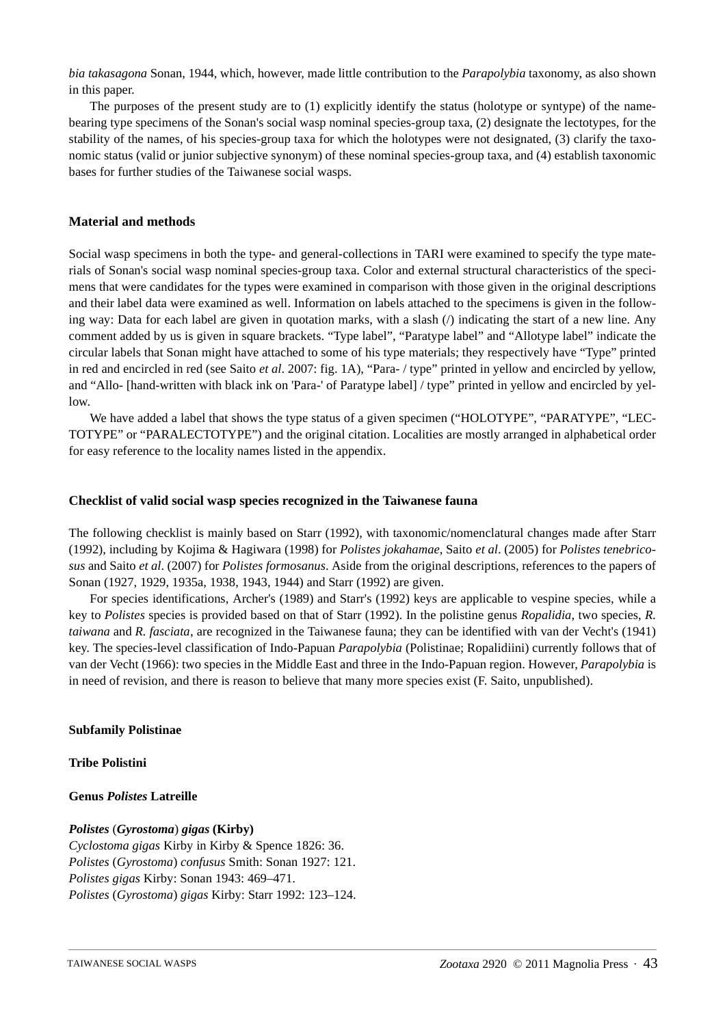*bia takasagona* Sonan, 1944, which, however, made little contribution to the *Parapolybia* taxonomy, as also shown in this paper.

The purposes of the present study are to (1) explicitly identify the status (holotype or syntype) of the namebearing type specimens of the Sonan's social wasp nominal species-group taxa, (2) designate the lectotypes, for the stability of the names, of his species-group taxa for which the holotypes were not designated, (3) clarify the taxonomic status (valid or junior subjective synonym) of these nominal species-group taxa, and (4) establish taxonomic bases for further studies of the Taiwanese social wasps.

### **Material and methods**

Social wasp specimens in both the type- and general-collections in TARI were examined to specify the type materials of Sonan's social wasp nominal species-group taxa. Color and external structural characteristics of the specimens that were candidates for the types were examined in comparison with those given in the original descriptions and their label data were examined as well. Information on labels attached to the specimens is given in the following way: Data for each label are given in quotation marks, with a slash ( $\ell$ ) indicating the start of a new line. Any comment added by us is given in square brackets. "Type label", "Paratype label" and "Allotype label" indicate the circular labels that Sonan might have attached to some of his type materials; they respectively have "Type" printed in red and encircled in red (see Saito *et al*. 2007: fig. 1A), "Para- / type" printed in yellow and encircled by yellow, and "Allo- [hand-written with black ink on 'Para-' of Paratype label] / type" printed in yellow and encircled by yellow.

We have added a label that shows the type status of a given specimen ("HOLOTYPE", "PARATYPE", "LEC-TOTYPE" or "PARALECTOTYPE") and the original citation. Localities are mostly arranged in alphabetical order for easy reference to the locality names listed in the appendix.

#### **Checklist of valid social wasp species recognized in the Taiwanese fauna**

The following checklist is mainly based on Starr (1992), with taxonomic/nomenclatural changes made after Starr (1992), including by Kojima & Hagiwara (1998) for *Polistes jokahamae*, Saito *et al*. (2005) for *Polistes tenebricosus* and Saito *et al*. (2007) for *Polistes formosanus*. Aside from the original descriptions, references to the papers of Sonan (1927, 1929, 1935a, 1938, 1943, 1944) and Starr (1992) are given.

For species identifications, Archer's (1989) and Starr's (1992) keys are applicable to vespine species, while a key to *Polistes* species is provided based on that of Starr (1992). In the polistine genus *Ropalidia*, two species, *R. taiwana* and *R. fasciata*, are recognized in the Taiwanese fauna; they can be identified with van der Vecht's (1941) key. The species-level classification of Indo-Papuan *Parapolybia* (Polistinae; Ropalidiini) currently follows that of van der Vecht (1966): two species in the Middle East and three in the Indo-Papuan region. However, *Parapolybia* is in need of revision, and there is reason to believe that many more species exist (F. Saito, unpublished).

### **Subfamily Polistinae**

#### **Tribe Polistini**

#### **Genus** *Polistes* **Latreille**

## *Polistes* (*Gyrostoma*) *gigas* **(Kirby)**

*Cyclostoma gigas* Kirby in Kirby & Spence 1826: 36. *Polistes* (*Gyrostoma*) *confusus* Smith: Sonan 1927: 121. *Polistes gigas* Kirby: Sonan 1943: 469–471. *Polistes* (*Gyrostoma*) *gigas* Kirby: Starr 1992: 123–124.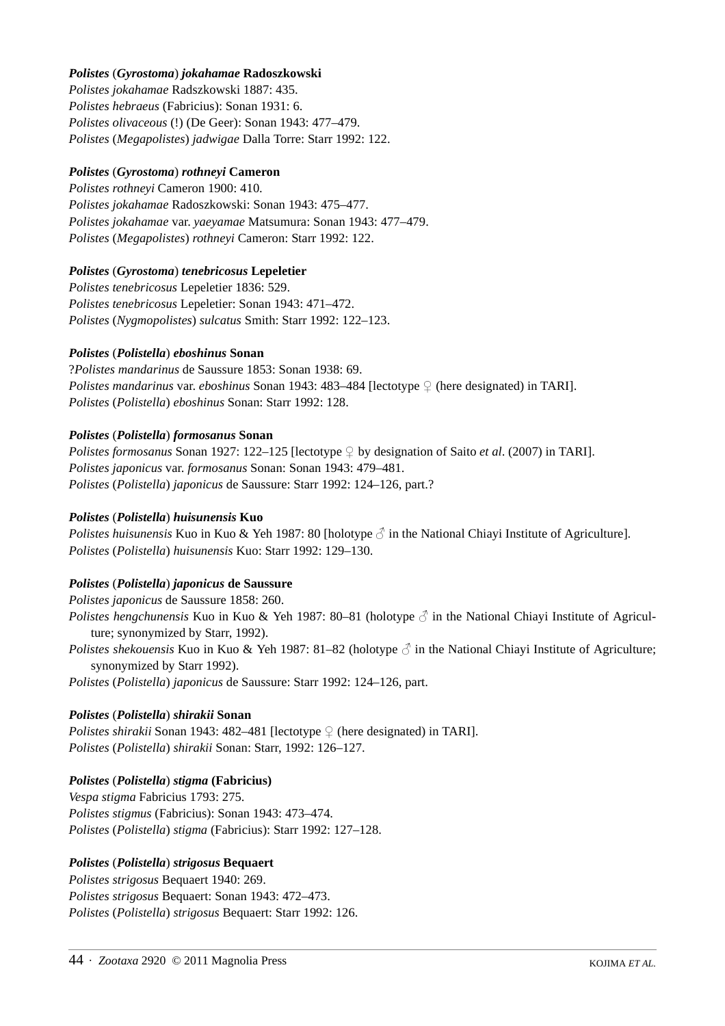# *Polistes* (*Gyrostoma*) *jokahamae* **Radoszkowski**

*Polistes jokahamae* Radszkowski 1887: 435. *Polistes hebraeus* (Fabricius): Sonan 1931: 6. *Polistes olivaceous* (!) (De Geer): Sonan 1943: 477–479. *Polistes* (*Megapolistes*) *jadwigae* Dalla Torre: Starr 1992: 122.

# *Polistes* (*Gyrostoma*) *rothneyi* **Cameron**

*Polistes rothneyi* Cameron 1900: 410. *Polistes jokahamae* Radoszkowski: Sonan 1943: 475–477. *Polistes jokahamae* var. *yaeyamae* Matsumura: Sonan 1943: 477–479. *Polistes* (*Megapolistes*) *rothneyi* Cameron: Starr 1992: 122.

# *Polistes* (*Gyrostoma*) *tenebricosus* **Lepeletier**

*Polistes tenebricosus* Lepeletier 1836: 529. *Polistes tenebricosus* Lepeletier: Sonan 1943: 471–472. *Polistes* (*Nygmopolistes*) *sulcatus* Smith: Starr 1992: 122–123.

## *Polistes* (*Polistella*) *eboshinus* **Sonan**

?*Polistes mandarinus* de Saussure 1853: Sonan 1938: 69. *Polistes mandarinus* var. *eboshinus* Sonan 1943: 483–484 [lectotype ♀ (here designated) in TARI]. *Polistes* (*Polistella*) *eboshinus* Sonan: Starr 1992: 128.

# *Polistes* (*Polistella*) *formosanus* **Sonan**

*Polistes formosanus* Sonan 1927: 122–125 [lectotype ♀ by designation of Saito *et al.* (2007) in TARI]. *Polistes japonicus* var. *formosanus* Sonan: Sonan 1943: 479–481. *Polistes* (*Polistella*) *japonicus* de Saussure: Starr 1992: 124–126, part.?

## *Polistes* (*Polistella*) *huisunensis* **Kuo**

*Polistes huisunensis* Kuo in Kuo & Yeh 1987: 80 [holotype  $\delta$  in the National Chiayi Institute of Agriculture]. *Polistes* (*Polistella*) *huisunensis* Kuo: Starr 1992: 129–130.

# *Polistes* (*Polistella*) *japonicus* **de Saussure**

*Polistes japonicus* de Saussure 1858: 260.

*Polistes hengchunensis* Kuo in Kuo & Yeh 1987: 80–81 (holotype  $\beta$  in the National Chiayi Institute of Agriculture; synonymized by Starr, 1992).

*Polistes shekouensis* Kuo in Kuo & Yeh 1987: 81–82 (holotype  $\beta$  in the National Chiavi Institute of Agriculture; synonymized by Starr 1992).

*Polistes* (*Polistella*) *japonicus* de Saussure: Starr 1992: 124–126, part.

# *Polistes* (*Polistella*) *shirakii* **Sonan**

*Polistes shirakii* Sonan 1943: 482–481 [lectotype ♀ (here designated) in TARI]. *Polistes* (*Polistella*) *shirakii* Sonan: Starr, 1992: 126–127.

## *Polistes* (*Polistella*) *stigma* **(Fabricius)**

*Vespa stigma* Fabricius 1793: 275. *Polistes stigmus* (Fabricius): Sonan 1943: 473–474. *Polistes* (*Polistella*) *stigma* (Fabricius): Starr 1992: 127–128.

# *Polistes* (*Polistella*) *strigosus* **Bequaert**

*Polistes strigosus* Bequaert 1940: 269. *Polistes strigosus* Bequaert: Sonan 1943: 472–473. *Polistes* (*Polistella*) *strigosus* Bequaert: Starr 1992: 126.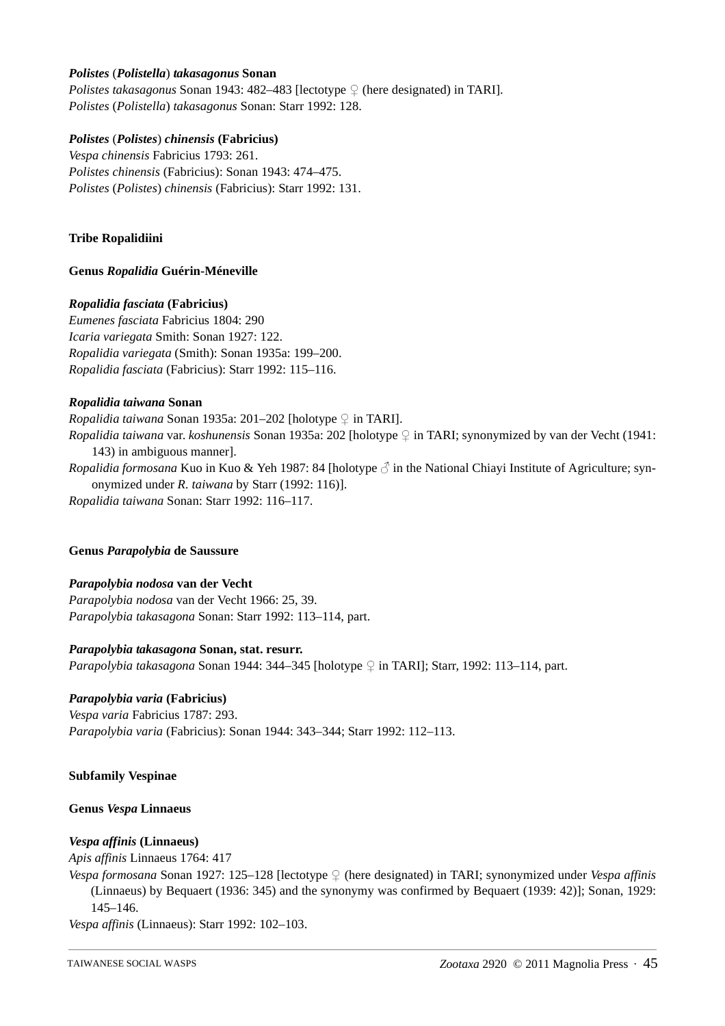### *Polistes* (*Polistella*) *takasagonus* **Sonan**

*Polistes takasagonus* Sonan 1943: 482–483 [lectotype ♀ (here designated) in TARI]. *Polistes* (*Polistella*) *takasagonus* Sonan: Starr 1992: 128.

## *Polistes* (*Polistes*) *chinensis* **(Fabricius)**

*Vespa chinensis* Fabricius 1793: 261. *Polistes chinensis* (Fabricius): Sonan 1943: 474–475. *Polistes* (*Polistes*) *chinensis* (Fabricius): Starr 1992: 131.

## **Tribe Ropalidiini**

### **Genus** *Ropalidia* **Guérin-Méneville**

### *Ropalidia fasciata* **(Fabricius)**

*Eumenes fasciata* Fabricius 1804: 290 *Icaria variegata* Smith: Sonan 1927: 122. *Ropalidia variegata* (Smith): Sonan 1935a: 199–200. *Ropalidia fasciata* (Fabricius): Starr 1992: 115–116.

### *Ropalidia taiwana* **Sonan**

*Ropalidia taiwana* Sonan 1935a: 201–202 [holotype ♀ in TARI]. *Ropalidia taiwana* var. *koshunensis* Sonan 1935a: 202 [holotype ♀ in TARI; synonymized by van der Vecht (1941: 143) in ambiguous manner]. *Ropalidia formosana* Kuo in Kuo & Yeh 1987: 84 [holotype ♂ in the National Chiayi Institute of Agriculture; synonymized under *R. taiwana* by Starr (1992: 116)].

*Ropalidia taiwana* Sonan: Starr 1992: 116–117.

#### **Genus** *Parapolybia* **de Saussure**

#### *Parapolybia nodosa* **van der Vecht**

*Parapolybia nodosa* van der Vecht 1966: 25, 39. *Parapolybia takasagona* Sonan: Starr 1992: 113–114, part.

#### *Parapolybia takasagona* **Sonan, stat. resurr.**

*Parapolybia takasagona* Sonan 1944: 344–345 [holotype ♀ in TARI]; Starr, 1992: 113–114, part.

### *Parapolybia varia* **(Fabricius)**

*Vespa varia* Fabricius 1787: 293. *Parapolybia varia* (Fabricius): Sonan 1944: 343–344; Starr 1992: 112–113.

#### **Subfamily Vespinae**

#### **Genus** *Vespa* **Linnaeus**

## *Vespa affinis* **(Linnaeus)**

*Apis affinis* Linnaeus 1764: 417

*Vespa formosana* Sonan 1927: 125–128 [lectotype ♀ (here designated) in TARI; synonymized under *Vespa affinis* (Linnaeus) by Bequaert (1936: 345) and the synonymy was confirmed by Bequaert (1939: 42)]; Sonan, 1929: 145–146.

*Vespa affinis* (Linnaeus): Starr 1992: 102–103.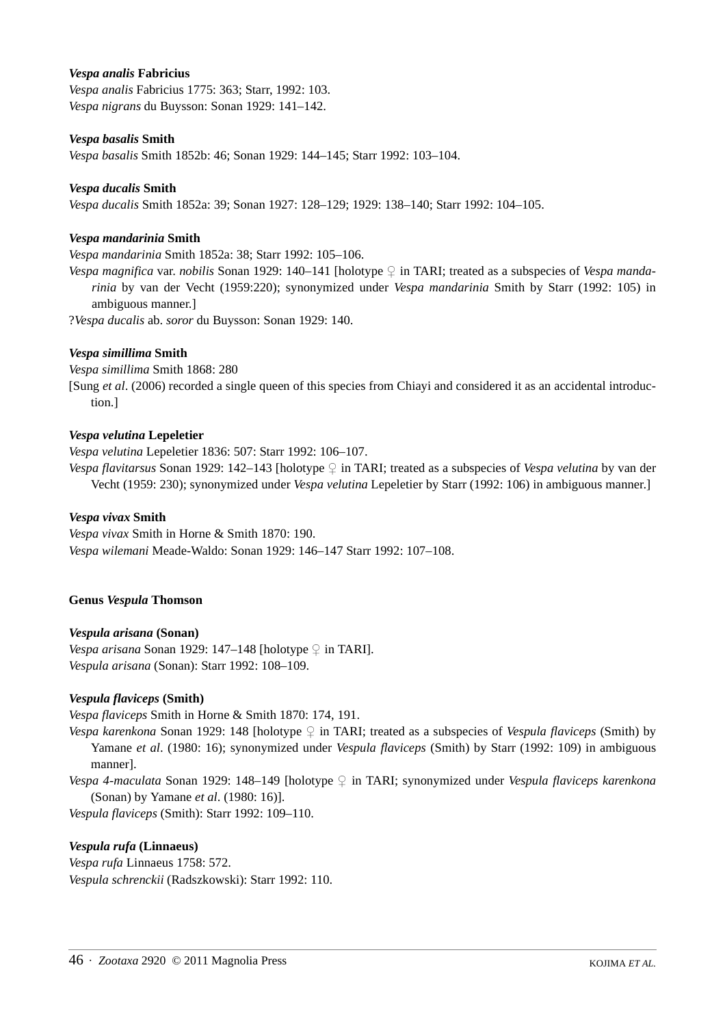### *Vespa analis* **Fabricius**

*Vespa analis* Fabricius 1775: 363; Starr, 1992: 103. *Vespa nigrans* du Buysson: Sonan 1929: 141–142.

### *Vespa basalis* **Smith**

*Vespa basalis* Smith 1852b: 46; Sonan 1929: 144–145; Starr 1992: 103–104.

### *Vespa ducalis* **Smith**

*Vespa ducalis* Smith 1852a: 39; Sonan 1927: 128–129; 1929: 138–140; Starr 1992: 104–105.

### *Vespa mandarinia* **Smith**

*Vespa mandarinia* Smith 1852a: 38; Starr 1992: 105–106.

*Vespa magnifica* var. *nobilis* Sonan 1929: 140–141 [holotype ♀ in TARI; treated as a subspecies of *Vespa mandarinia* by van der Vecht (1959:220); synonymized under *Vespa mandarinia* Smith by Starr (1992: 105) in ambiguous manner.]

?*Vespa ducalis* ab. *soror* du Buysson: Sonan 1929: 140.

#### *Vespa simillima* **Smith**

*Vespa simillima* Smith 1868: 280

[Sung *et al*. (2006) recorded a single queen of this species from Chiayi and considered it as an accidental introduction.]

### *Vespa velutina* **Lepeletier**

*Vespa velutina* Lepeletier 1836: 507: Starr 1992: 106–107.

*Vespa flavitarsus* Sonan 1929: 142–143 [holotype ♀ in TARI; treated as a subspecies of *Vespa velutina* by van der Vecht (1959: 230); synonymized under *Vespa velutina* Lepeletier by Starr (1992: 106) in ambiguous manner.]

### *Vespa vivax* **Smith**

*Vespa vivax* Smith in Horne & Smith 1870: 190. *Vespa wilemani* Meade-Waldo: Sonan 1929: 146–147 Starr 1992: 107–108.

#### **Genus** *Vespula* **Thomson**

## *Vespula arisana* **(Sonan)**

*Vespa arisana* Sonan 1929: 147–148 [holotype ♀ in TARI]. *Vespula arisana* (Sonan): Starr 1992: 108–109.

## *Vespula flaviceps* **(Smith)**

*Vespa flaviceps* Smith in Horne & Smith 1870: 174, 191.

*Vespa karenkona* Sonan 1929: 148 [holotype ♀ in TARI; treated as a subspecies of *Vespula flaviceps* (Smith) by Yamane *et al*. (1980: 16); synonymized under *Vespula flaviceps* (Smith) by Starr (1992: 109) in ambiguous manner].

*Vespa 4-maculata* Sonan 1929: 148–149 [holotype ♀ in TARI; synonymized under *Vespula flaviceps karenkona* (Sonan) by Yamane *et al*. (1980: 16)].

*Vespula flaviceps* (Smith): Starr 1992: 109–110.

## *Vespula rufa* **(Linnaeus)**

*Vespa rufa* Linnaeus 1758: 572. *Vespula schrenckii* (Radszkowski): Starr 1992: 110.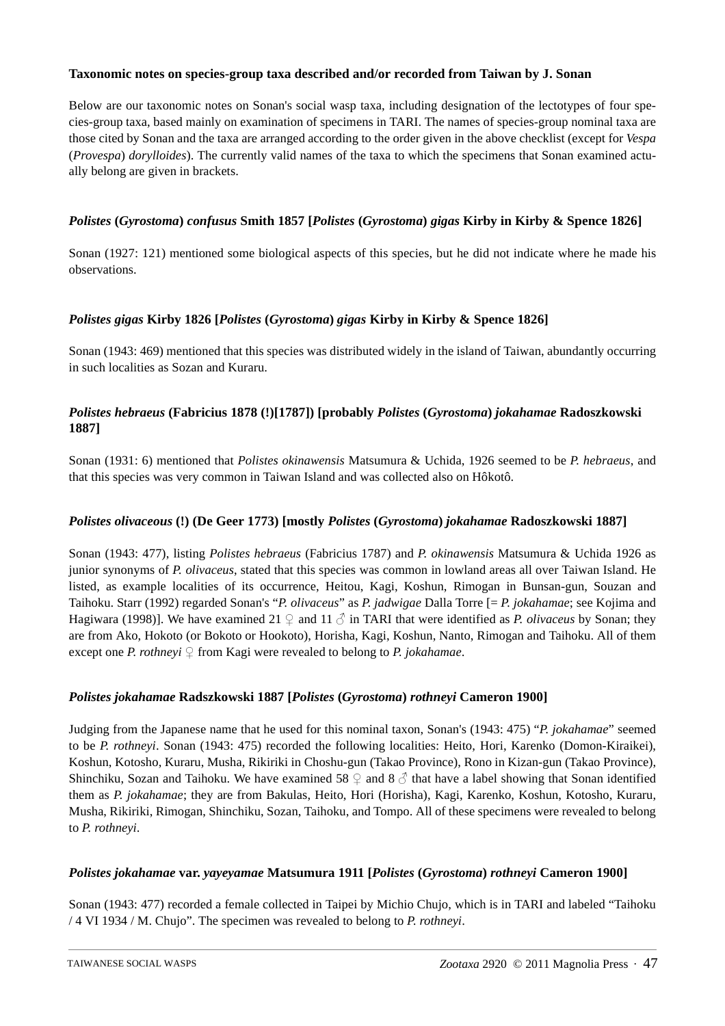# **Taxonomic notes on species-group taxa described and/or recorded from Taiwan by J. Sonan**

Below are our taxonomic notes on Sonan's social wasp taxa, including designation of the lectotypes of four species-group taxa, based mainly on examination of specimens in TARI. The names of species-group nominal taxa are those cited by Sonan and the taxa are arranged according to the order given in the above checklist (except for *Vespa* (*Provespa*) *dorylloides*). The currently valid names of the taxa to which the specimens that Sonan examined actually belong are given in brackets.

# *Polistes* **(***Gyrostoma***)** *confusus* **Smith 1857 [***Polistes* **(***Gyrostoma***)** *gigas* **Kirby in Kirby & Spence 1826]**

Sonan (1927: 121) mentioned some biological aspects of this species, but he did not indicate where he made his observations.

# *Polistes gigas* **Kirby 1826 [***Polistes* **(***Gyrostoma***)** *gigas* **Kirby in Kirby & Spence 1826]**

Sonan (1943: 469) mentioned that this species was distributed widely in the island of Taiwan, abundantly occurring in such localities as Sozan and Kuraru.

# *Polistes hebraeus* **(Fabricius 1878 (!)[1787]) [probably** *Polistes* **(***Gyrostoma***)** *jokahamae* **Radoszkowski 1887]**

Sonan (1931: 6) mentioned that *Polistes okinawensis* Matsumura & Uchida, 1926 seemed to be *P. hebraeus*, and that this species was very common in Taiwan Island and was collected also on Hôkotô.

## *Polistes olivaceous* **(!) (De Geer 1773) [mostly** *Polistes* **(***Gyrostoma***)** *jokahamae* **Radoszkowski 1887]**

Sonan (1943: 477), listing *Polistes hebraeus* (Fabricius 1787) and *P. okinawensis* Matsumura & Uchida 1926 as junior synonyms of *P. olivaceus*, stated that this species was common in lowland areas all over Taiwan Island. He listed, as example localities of its occurrence, Heitou, Kagi, Koshun, Rimogan in Bunsan-gun, Souzan and Taihoku. Starr (1992) regarded Sonan's "*P. olivaceus*" as *P. jadwigae* Dalla Torre [= *P. jokahamae*; see Kojima and Hagiwara (1998)]. We have examined 21  $\varphi$  and 11  $\varphi$  in TARI that were identified as *P. olivaceus* by Sonan; they are from Ako, Hokoto (or Bokoto or Hookoto), Horisha, Kagi, Koshun, Nanto, Rimogan and Taihoku. All of them except one *P. rothneyi* ♀ from Kagi were revealed to belong to *P. jokahamae*.

## *Polistes jokahamae* **Radszkowski 1887 [***Polistes* **(***Gyrostoma***)** *rothneyi* **Cameron 1900]**

Judging from the Japanese name that he used for this nominal taxon, Sonan's (1943: 475) "*P. jokahamae*" seemed to be *P. rothneyi*. Sonan (1943: 475) recorded the following localities: Heito, Hori, Karenko (Domon-Kiraikei), Koshun, Kotosho, Kuraru, Musha, Rikiriki in Choshu-gun (Takao Province), Rono in Kizan-gun (Takao Province), Shinchiku, Sozan and Taihoku. We have examined 58  $\varphi$  and 8  $\varphi$  that have a label showing that Sonan identified them as *P. jokahamae*; they are from Bakulas, Heito, Hori (Horisha), Kagi, Karenko, Koshun, Kotosho, Kuraru, Musha, Rikiriki, Rimogan, Shinchiku, Sozan, Taihoku, and Tompo. All of these specimens were revealed to belong to *P. rothneyi*.

## *Polistes jokahamae* **var.** *yayeyamae* **Matsumura 1911 [***Polistes* **(***Gyrostoma***)** *rothneyi* **Cameron 1900]**

Sonan (1943: 477) recorded a female collected in Taipei by Michio Chujo, which is in TARI and labeled "Taihoku / 4 VI 1934 / M. Chujo". The specimen was revealed to belong to *P. rothneyi*.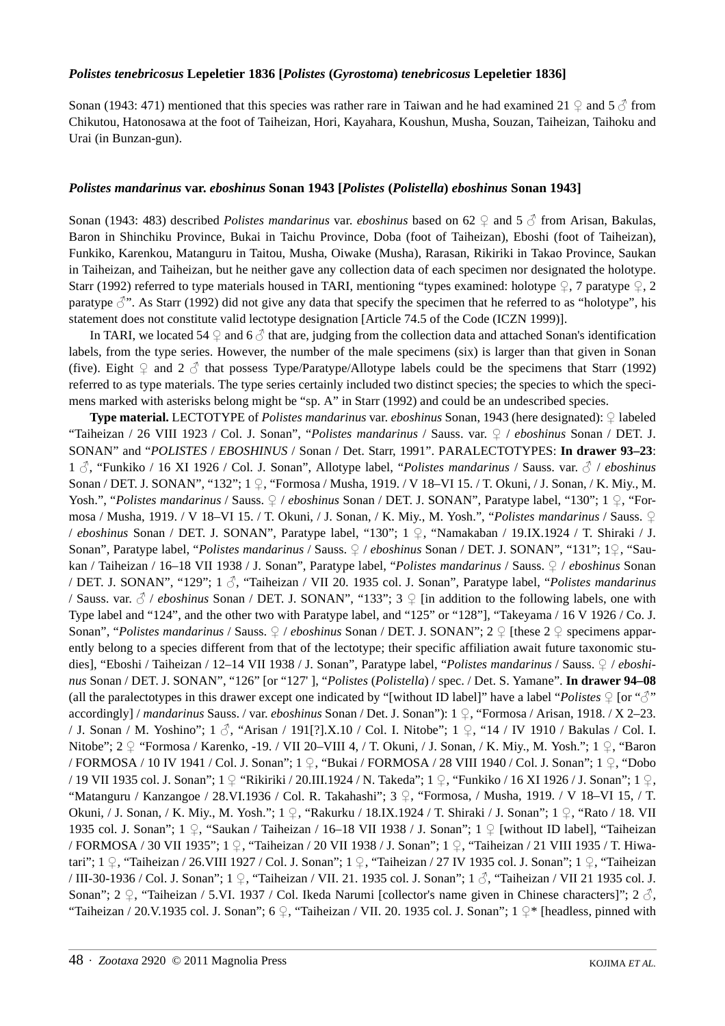### *Polistes tenebricosus* **Lepeletier 1836 [***Polistes* **(***Gyrostoma***)** *tenebricosus* **Lepeletier 1836]**

Sonan (1943: 471) mentioned that this species was rather rare in Taiwan and he had examined 21 ♀ and 5 √ from Chikutou, Hatonosawa at the foot of Taiheizan, Hori, Kayahara, Koushun, Musha, Souzan, Taiheizan, Taihoku and Urai (in Bunzan-gun).

### *Polistes mandarinus* **var.** *eboshinus* **Sonan 1943 [***Polistes* **(***Polistella***)** *eboshinus* **Sonan 1943]**

Sonan (1943: 483) described *Polistes mandarinus* var. *eboshinus* based on 62 ♀ and 5 ♂ from Arisan, Bakulas, Baron in Shinchiku Province, Bukai in Taichu Province, Doba (foot of Taiheizan), Eboshi (foot of Taiheizan), Funkiko, Karenkou, Matanguru in Taitou, Musha, Oiwake (Musha), Rarasan, Rikiriki in Takao Province, Saukan in Taiheizan, and Taiheizan, but he neither gave any collection data of each specimen nor designated the holotype. Starr (1992) referred to type materials housed in TARI, mentioning "types examined: holotype  $\varphi$ , 7 paratype  $\varphi$ , 2 paratype  $\beta$ ". As Starr (1992) did not give any data that specify the specimen that he referred to as "holotype", his statement does not constitute valid lectotype designation [Article 74.5 of the Code (ICZN 1999)].

In TARI, we located 54  $\circ$  and 6  $\circ$  that are, judging from the collection data and attached Sonan's identification labels, from the type series. However, the number of the male specimens (six) is larger than that given in Sonan (five). Eight  $\Omega$  and  $2 \beta$  that possess Type/Paratype/Allotype labels could be the specimens that Starr (1992) referred to as type materials. The type series certainly included two distinct species; the species to which the specimens marked with asterisks belong might be "sp. A" in Starr (1992) and could be an undescribed species.

**Type material.** LECTOTYPE of *Polistes mandarinus* var. *eboshinus* Sonan, 1943 (here designated): ♀ labeled "Taiheizan / 26 VIII 1923 / Col. J. Sonan", "*Polistes mandarinus* / Sauss. var. ♀ / *eboshinus* Sonan / DET. J. SONAN" and "*POLISTES* / *EBOSHINUS* / Sonan / Det. Starr, 1991". PARALECTOTYPES: **In drawer 93–23**: <sup>1</sup>♂, "Funkiko / 16 XI 1926 / Col. J. Sonan", Allotype label, "*Polistes mandarinus* / Sauss. var. ♂ / *eboshinus* Sonan / DET. J. SONAN", "132"; 1 ♀, "Formosa / Musha, 1919. / V 18–VI 15. / T. Okuni, / J. Sonan, / K. Miy., M. Yosh.", "*Polistes mandarinus* / Sauss. ♀ / *eboshinus* Sonan / DET. J. SONAN", Paratype label, "130"; 1 ♀, "Formosa / Musha, 1919. / V 18–VI 15. / T. Okuni, / J. Sonan, / K. Miy., M. Yosh.", "*Polistes mandarinus* / Sauss. ♀ / *eboshinus* Sonan / DET. J. SONAN", Paratype label, "130"; 1 ♀, "Namakaban / 19.IX.1924 / T. Shiraki / J. Sonan", Paratype label, "*Polistes mandarinus* / Sauss. ♀ / *eboshinus* Sonan / DET. J. SONAN", "131"; 1♀, "Saukan / Taiheizan / 16–18 VII 1938 / J. Sonan", Paratype label, "*Polistes mandarinus* / Sauss. ♀ / *eboshinus* Sonan / DET. J. SONAN", "129"; 1 ♂, "Taiheizan / VII 20. 1935 col. J. Sonan", Paratype label, "*Polistes mandarinus* / Sauss. var. ♂ / *eboshinus* Sonan / DET. J. SONAN", "133"; 3 ♀ [in addition to the following labels, one with Type label and "124", and the other two with Paratype label, and "125" or "128"], "Takeyama / 16 V 1926 / Co. J. Sonan", "*Polistes mandarinus* / Sauss. ♀ / *eboshinus* Sonan / DET. J. SONAN"; 2 ♀ [these 2 ♀ specimens apparently belong to a species different from that of the lectotype; their specific affiliation await future taxonomic studies], "Eboshi / Taiheizan / 12–14 VII 1938 / J. Sonan", Paratype label, "*Polistes mandarinus* / Sauss. ♀ / *eboshinus* Sonan / DET. J. SONAN", "126" [or "127' ], "*Polistes* (*Polistella*) / spec. / Det. S. Yamane". **In drawer 94–08** (all the paralectotypes in this drawer except one indicated by "[without ID label]" have a label "*Polistes*  $\varphi$  [or " $\mathcal{S}$ " accordingly] / *mandarinus* Sauss. / var. *eboshinus* Sonan / Det. J. Sonan"): 1 ♀, "Formosa / Arisan, 1918. / X 2–23. / J. Sonan / M. Yoshino"; 1 ♂, "Arisan / 191[?].X.10 / Col. I. Nitobe"; 1 ♀, "14 / IV 1910 / Bakulas / Col. I. Nitobe"; 2 º "Formosa / Karenko, -19. / VII 20–VIII 4, / T. Okuni, / J. Sonan, / K. Miy., M. Yosh."; 1 ♀, "Baron / FORMOSA / 10 IV 1941 / Col. J. Sonan"; 1 ♀, "Bukai / FORMOSA / 28 VIII 1940 / Col. J. Sonan"; 1 ♀, "Dobo / 19 VII 1935 col. J. Sonan"; 1 ♀ "Rikiriki / 20.III.1924 / N. Takeda"; 1 ♀, "Funkiko / 16 XI 1926 / J. Sonan"; 1 ♀, "Matanguru / Kanzangoe / 28.VI.1936 / Col. R. Takahashi";  $3 \nsubseteq$ , "Formosa, / Musha, 1919. / V 18–VI 15, / T. Okuni, / J. Sonan, / K. Miy., M. Yosh."; 1 ♀, "Rakurku / 18.IX.1924 / T. Shiraki / J. Sonan"; 1 ♀, "Rato / 18. VII 1935 col. J. Sonan"; 1 ♀, "Saukan / Taiheizan / 16–18 VII 1938 / J. Sonan"; 1 ♀ [without ID label], "Taiheizan / FORMOSA / 30 VII 1935"; 1 ♀, "Taiheizan / 20 VII 1938 / J. Sonan"; 1 ♀, "Taiheizan / 21 VIII 1935 / T. Hiwatari"; 1 ♀, "Taiheizan / 26.VIII 1927 / Col. J. Sonan"; 1 ♀, "Taiheizan / 27 IV 1935 col. J. Sonan"; 1 ♀, "Taiheizan / III-30-1936 / Col. J. Sonan"; 1 ♀, "Taiheizan / VII. 21. 1935 col. J. Sonan"; 1 ♂, "Taiheizan / VII 21 1935 col. J. Sonan"; 2  $\varphi$ , "Taiheizan / 5.VI. 1937 / Col. Ikeda Narumi [collector's name given in Chinese characters]"; 2  $\beta$ , "Taiheizan / 20.V.1935 col. J. Sonan"; 6  $\frac{1}{2}$ , "Taiheizan / VII. 20. 1935 col. J. Sonan"; 1  $\frac{1}{2}$ \* [headless, pinned with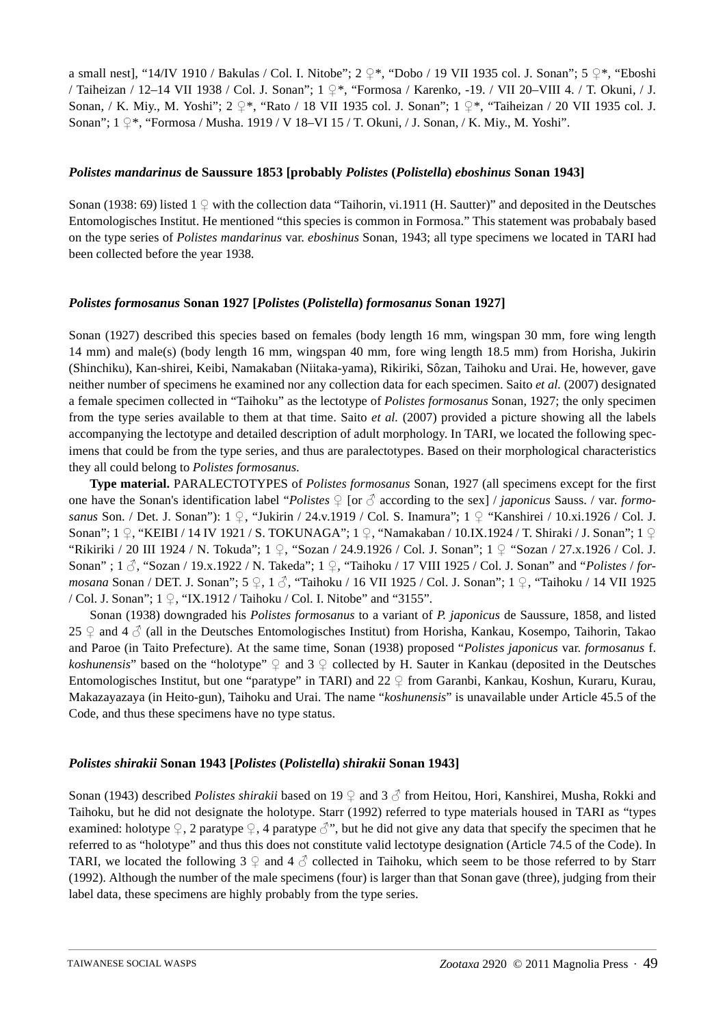a small nest], "14/IV 1910 / Bakulas / Col. I. Nitobe";  $2 \frac{9}{5}$ , "Dobo / 19 VII 1935 col. J. Sonan";  $5 \frac{9}{5}$ , "Eboshi / Taiheizan / 12–14 VII 1938 / Col. J. Sonan"; 1 ♀\*, "Formosa / Karenko, -19. / VII 20–VIII 4. / T. Okuni, / J. Sonan, / K. Miy., M. Yoshi"; 2 ♀\*, "Rato / 18 VII 1935 col. J. Sonan"; 1 ♀\*, "Taiheizan / 20 VII 1935 col. J. Sonan"; 1 ♀\*, "Formosa / Musha. 1919 / V 18–VI 15 / T. Okuni, / J. Sonan, / K. Miy., M. Yoshi".

# *Polistes mandarinus* **de Saussure 1853 [probably** *Polistes* **(***Polistella***)** *eboshinus* **Sonan 1943]**

Sonan (1938: 69) listed  $1 \nsubseteq$  with the collection data "Taihorin, vi.1911 (H. Sautter)" and deposited in the Deutsches Entomologisches Institut. He mentioned "this species is common in Formosa." This statement was probabaly based on the type series of *Polistes mandarinus* var. *eboshinus* Sonan, 1943; all type specimens we located in TARI had been collected before the year 1938.

# *Polistes formosanus* **Sonan 1927 [***Polistes* **(***Polistella***)** *formosanus* **Sonan 1927]**

Sonan (1927) described this species based on females (body length 16 mm, wingspan 30 mm, fore wing length 14 mm) and male(s) (body length 16 mm, wingspan 40 mm, fore wing length 18.5 mm) from Horisha, Jukirin (Shinchiku), Kan-shirei, Keibi, Namakaban (Niitaka-yama), Rikiriki, Sôzan, Taihoku and Urai. He, however, gave neither number of specimens he examined nor any collection data for each specimen. Saito *et al.* (2007) designated a female specimen collected in "Taihoku" as the lectotype of *Polistes formosanus* Sonan, 1927; the only specimen from the type series available to them at that time. Saito *et al.* (2007) provided a picture showing all the labels accompanying the lectotype and detailed description of adult morphology. In TARI, we located the following specimens that could be from the type series, and thus are paralectotypes. Based on their morphological characteristics they all could belong to *Polistes formosanus*.

**Type material.** PARALECTOTYPES of *Polistes formosanus* Sonan, 1927 (all specimens except for the first one have the Sonan's identification label "*Polistes* ♀ [or ♂ according to the sex] / *japonicus* Sauss. / var. *formosanus* Son. / Det. J. Sonan"): 1 ♀, "Jukirin / 24.v.1919 / Col. S. Inamura"; 1 ♀ "Kanshirei / 10.xi.1926 / Col. J. Sonan"; 1 ♀, "KEIBI / 14 IV 1921 / S. TOKUNAGA"; 1 ♀, "Namakaban / 10.IX.1924 / T. Shiraki / J. Sonan"; 1 ♀ "Rikiriki / 20 III 1924 / N. Tokuda"; 1 ♀, "Sozan / 24.9.1926 / Col. J. Sonan"; 1 ♀ "Sozan / 27.x.1926 / Col. J. Sonan" ; 1 ♂, "Sozan / 19.x.1922 / N. Takeda"; 1 ♀, "Taihoku / 17 VIII 1925 / Col. J. Sonan" and "*Polistes* / *formosana* Sonan / DET. J. Sonan"; 5 ♀, 1 ♂, "Taihoku / 16 VII 1925 / Col. J. Sonan"; 1 ♀, "Taihoku / 14 VII 1925 / Col. J. Sonan"; 1 ♀, "IX.1912 / Taihoku / Col. I. Nitobe" and "3155".

Sonan (1938) downgraded his *Polistes formosanus* to a variant of *P. japonicus* de Saussure, 1858, and listed 25 ♀ and 4  $\beta$  (all in the Deutsches Entomologisches Institut) from Horisha, Kankau, Kosempo, Taihorin, Takao and Paroe (in Taito Prefecture). At the same time, Sonan (1938) proposed "*Polistes japonicus* var. *formosanus* f. *koshunensis*" based on the "holotype" ♀ and 3 ♀ collected by H. Sauter in Kankau (deposited in the Deutsches Entomologisches Institut, but one "paratype" in TARI) and 22 ♀ from Garanbi, Kankau, Koshun, Kuraru, Kurau, Makazayazaya (in Heito-gun), Taihoku and Urai. The name "*koshunensis*" is unavailable under Article 45.5 of the Code, and thus these specimens have no type status.

## *Polistes shirakii* **Sonan 1943 [***Polistes* **(***Polistella***)** *shirakii* **Sonan 1943]**

Sonan (1943) described *Polistes shirakii* based on 19 ♀ and 3 ♂ from Heitou, Hori, Kanshirei, Musha, Rokki and Taihoku, but he did not designate the holotype. Starr (1992) referred to type materials housed in TARI as "types examined: holotype  $\varphi$ , 2 paratype  $\varphi$ , 4 paratype  $\varphi$ ", but he did not give any data that specify the specimen that he referred to as "holotype" and thus this does not constitute valid lectotype designation (Article 74.5 of the Code). In TARI, we located the following 3  $\circ$  and 4  $\circ$  collected in Taihoku, which seem to be those referred to by Starr (1992). Although the number of the male specimens (four) is larger than that Sonan gave (three), judging from their label data, these specimens are highly probably from the type series.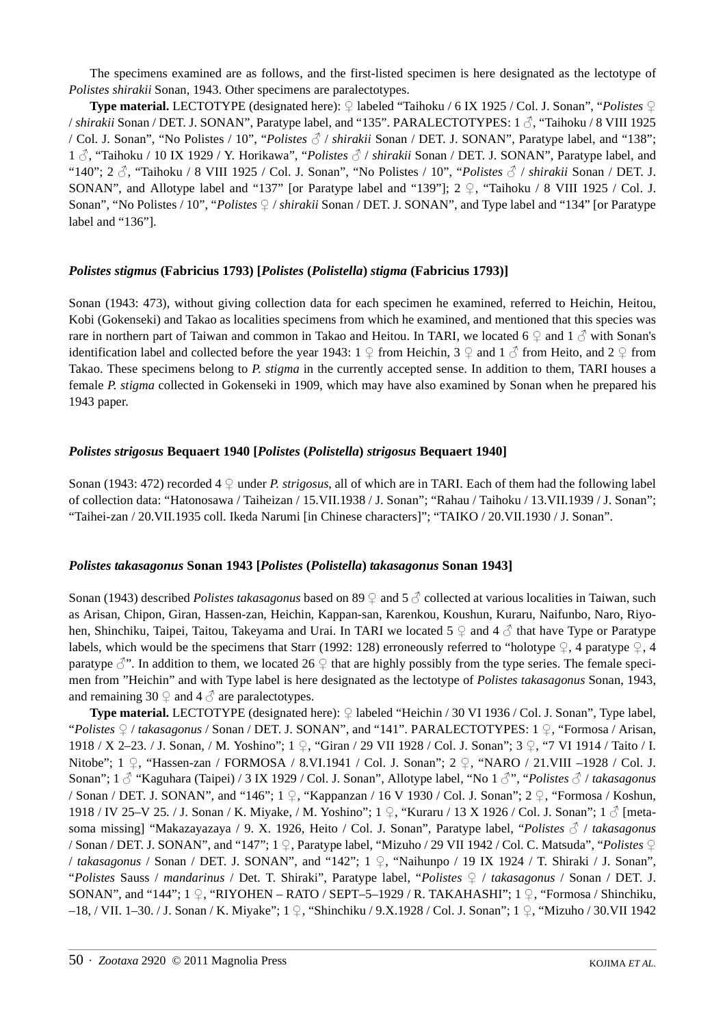The specimens examined are as follows, and the first-listed specimen is here designated as the lectotype of *Polistes shirakii* Sonan, 1943. Other specimens are paralectotypes.

**Type material.** LECTOTYPE (designated here): ♀ labeled "Taihoku / 6 IX 1925 / Col. J. Sonan", "*Polistes* ♀ / *shirakii* Sonan / DET. J. SONAN", Paratype label, and "135". PARALECTOTYPES: 1 ♂, "Taihoku / 8 VIII 1925 / Col. J. Sonan", "No Polistes / 10", "*Polistes* ♂ / *shirakii* Sonan / DET. J. SONAN", Paratype label, and "138"; <sup>1</sup>♂, "Taihoku / 10 IX 1929 / Y. Horikawa", "*Polistes* ♂ / *shirakii* Sonan / DET. J. SONAN", Paratype label, and "140"; 2 ♂, "Taihoku / 8 VIII 1925 / Col. J. Sonan", "No Polistes / 10", "*Polistes* ♂ / *shirakii* Sonan / DET. J. SONAN", and Allotype label and "137" [or Paratype label and "139"];  $2 \nsubseteq$ , "Taihoku / 8 VIII 1925 / Col. J. Sonan", "No Polistes / 10", "*Polistes* ♀ / *shirakii* Sonan / DET. J. SONAN", and Type label and "134" [or Paratype label and "136"].

# *Polistes stigmus* **(Fabricius 1793) [***Polistes* **(***Polistella***)** *stigma* **(Fabricius 1793)]**

Sonan (1943: 473), without giving collection data for each specimen he examined, referred to Heichin, Heitou, Kobi (Gokenseki) and Takao as localities specimens from which he examined, and mentioned that this species was rare in northern part of Taiwan and common in Takao and Heitou. In TARI, we located 6  $\circ$  and 1  $\circ$  with Sonan's identification label and collected before the year 1943:  $1 \nsubseteq$  from Heichin,  $3 \nsubseteq$  and  $1 \nsubseteq$  from Heito, and  $2 \nsubseteq$  from Takao. These specimens belong to *P. stigma* in the currently accepted sense. In addition to them, TARI houses a female *P. stigma* collected in Gokenseki in 1909, which may have also examined by Sonan when he prepared his 1943 paper.

# *Polistes strigosus* **Bequaert 1940 [***Polistes* **(***Polistella***)** *strigosus* **Bequaert 1940]**

Sonan (1943: 472) recorded 4  $\circ$  under *P. strigosus*, all of which are in TARI. Each of them had the following label of collection data: "Hatonosawa / Taiheizan / 15.VII.1938 / J. Sonan"; "Rahau / Taihoku / 13.VII.1939 / J. Sonan"; "Taihei-zan / 20.VII.1935 coll. Ikeda Narumi [in Chinese characters]"; "TAIKO / 20.VII.1930 / J. Sonan".

## *Polistes takasagonus* **Sonan 1943 [***Polistes* **(***Polistella***)** *takasagonus* **Sonan 1943]**

Sonan (1943) described *Polistes takasagonus* based on 89 ♀ and 5 ♂ collected at various localities in Taiwan, such as Arisan, Chipon, Giran, Hassen-zan, Heichin, Kappan-san, Karenkou, Koushun, Kuraru, Naifunbo, Naro, Riyohen, Shinchiku, Taipei, Taitou, Takeyama and Urai. In TARI we located 5 ♀ and 4 ♂ that have Type or Paratype labels, which would be the specimens that Starr (1992: 128) erroneously referred to "holotype  $\mathcal{Q}$ , 4 paratype  $\mathcal{Q}$ , 4 paratype  $\beta$ ". In addition to them, we located 26  $\Omega$  that are highly possibly from the type series. The female specimen from "Heichin" and with Type label is here designated as the lectotype of *Polistes takasagonus* Sonan, 1943, and remaining 30  $\circ$  and 4  $\circ$  are paralectotypes.

**Type material.** LECTOTYPE (designated here): ♀ labeled "Heichin / 30 VI 1936 / Col. J. Sonan", Type label, "*Polistes* ♀ / *takasagonus* / Sonan / DET. J. SONAN", and "141". PARALECTOTYPES: 1 ♀, "Formosa / Arisan, 1918 / X 2–23. / J. Sonan, / M. Yoshino"; 1 ♀, "Giran / 29 VII 1928 / Col. J. Sonan"; 3 ♀, "7 VI 1914 / Taito / I. Nitobe"; 1 ♀, "Hassen-zan / FORMOSA / 8.VI.1941 / Col. J. Sonan"; 2 ♀, "NARO / 21.VIII –1928 / Col. J. Sonan"; 1 ♂ "Kaguhara (Taipei) / 3 IX 1929 / Col. J. Sonan", Allotype label, "No 1 ♂", "*Polistes* ♂ / *takasagonus* / Sonan / DET. J. SONAN", and "146"; 1 ♀, "Kappanzan / 16 V 1930 / Col. J. Sonan"; 2 ♀, "Formosa / Koshun, 1918 / IV 25–V 25. / J. Sonan / K. Miyake, / M. Yoshino"; 1 ♀, "Kuraru / 13 X 1926 / Col. J. Sonan"; 1 ♂ [metasoma missing] "Makazayazaya / 9. X. 1926, Heito / Col. J. Sonan", Paratype label, "*Polistes* ♂ / *takasagonus* / Sonan / DET. J. SONAN", and "147"; 1 ♀, Paratype label, "Mizuho / 29 VII 1942 / Col. C. Matsuda", "*Polistes* ♀ / *takasagonus* / Sonan / DET. J. SONAN", and "142"; 1 ♀, "Naihunpo / 19 IX 1924 / T. Shiraki / J. Sonan", "*Polistes* Sauss / *mandarinus* / Det. T. Shiraki", Paratype label, "*Polistes* ♀ / *takasagonus* / Sonan / DET. J. SONAN", and "144"; 1 ♀, "RIYOHEN – RATO / SEPT–5–1929 / R. TAKAHASHI"; 1 ♀, "Formosa / Shinchiku, –18, / VII. 1–30. / J. Sonan / K. Miyake"; 1 ♀, "Shinchiku / 9.X.1928 / Col. J. Sonan"; 1 ♀, "Mizuho / 30.VII 1942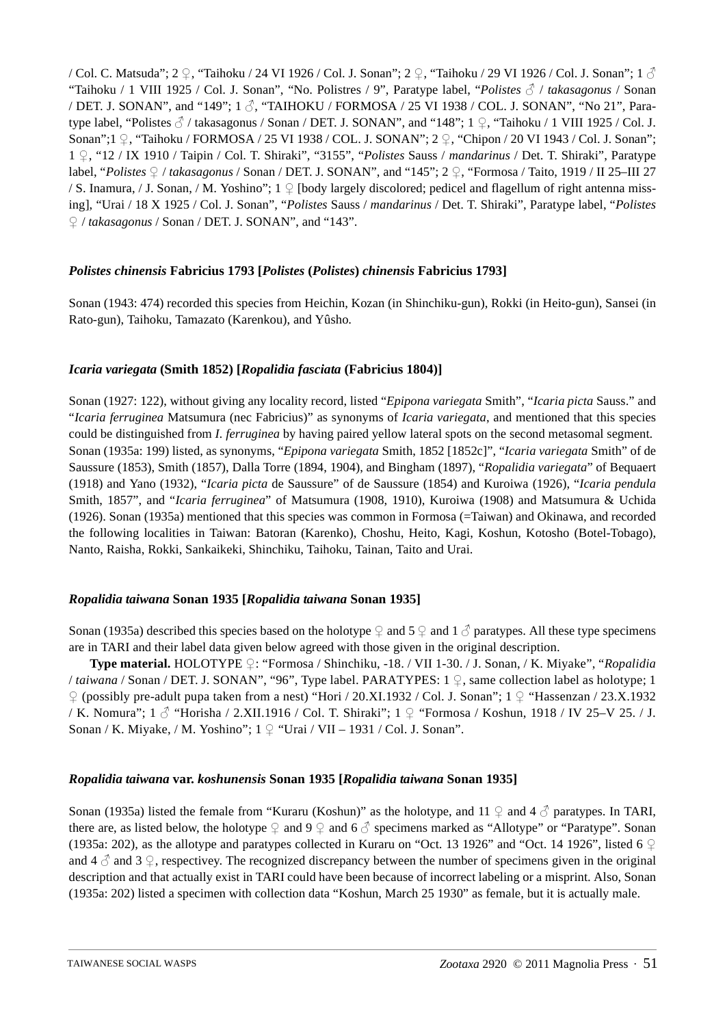/ Col. C. Matsuda"; 2 ♀, "Taihoku / 24 VI 1926 / Col. J. Sonan"; 2 ♀, "Taihoku / 29 VI 1926 / Col. J. Sonan"; 1 ♂ "Taihoku / 1 VIII 1925 / Col. J. Sonan", "No. Polistres / 9", Paratype label, "*Polistes* ♂ / *takasagonus* / Sonan / DET. J. SONAN", and "149";  $1 \text{ } \frac{3}{2}$ , "TAIHOKU / FORMOSA / 25 VI 1938 / COL. J. SONAN", "No 21", Paratype label, "Polistes  $\beta$  / takasagonus / Sonan / DET. J. SONAN", and "148"; 1  $\varphi$ , "Taihoku / 1 VIII 1925 / Col. J. Sonan";1 ♀, "Taihoku / FORMOSA / 25 VI 1938 / COL. J. SONAN"; 2 ♀, "Chipon / 20 VI 1943 / Col. J. Sonan"; <sup>1</sup>♀, "12 / IX 1910 / Taipin / Col. T. Shiraki", "3155", "*Polistes* Sauss / *mandarinus* / Det. T. Shiraki", Paratype label, "*Polistes* ♀ / *takasagonus* / Sonan / DET. J. SONAN", and "145"; 2 ♀, "Formosa / Taito, 1919 / II 25–III 27 / S. Inamura, / J. Sonan, / M. Yoshino"; 1 ♀ [body largely discolored; pedicel and flagellum of right antenna missing], "Urai / 18 X 1925 / Col. J. Sonan", "*Polistes* Sauss / *mandarinus* / Det. T. Shiraki", Paratype label, "*Polistes* ♀ / *takasagonus* / Sonan / DET. J. SONAN", and "143".

# *Polistes chinensis* **Fabricius 1793 [***Polistes* **(***Polistes***)** *chinensis* **Fabricius 1793]**

Sonan (1943: 474) recorded this species from Heichin, Kozan (in Shinchiku-gun), Rokki (in Heito-gun), Sansei (in Rato-gun), Taihoku, Tamazato (Karenkou), and Yûsho.

# *Icaria variegata* **(Smith 1852) [***Ropalidia fasciata* **(Fabricius 1804)]**

Sonan (1927: 122), without giving any locality record, listed "*Epipona variegata* Smith", "*Icaria picta* Sauss." and "*Icaria ferruginea* Matsumura (nec Fabricius)" as synonyms of *Icaria variegata*, and mentioned that this species could be distinguished from *I. ferruginea* by having paired yellow lateral spots on the second metasomal segment. Sonan (1935a: 199) listed, as synonyms, "*Epipona variegata* Smith, 1852 [1852c]", "*Icaria variegata* Smith" of de Saussure (1853), Smith (1857), Dalla Torre (1894, 1904), and Bingham (1897), "*Ropalidia variegata*" of Bequaert (1918) and Yano (1932), "*Icaria picta* de Saussure" of de Saussure (1854) and Kuroiwa (1926), "*Icaria pendula* Smith, 1857", and "*Icaria ferruginea*" of Matsumura (1908, 1910), Kuroiwa (1908) and Matsumura & Uchida (1926). Sonan (1935a) mentioned that this species was common in Formosa (=Taiwan) and Okinawa, and recorded the following localities in Taiwan: Batoran (Karenko), Choshu, Heito, Kagi, Koshun, Kotosho (Botel-Tobago), Nanto, Raisha, Rokki, Sankaikeki, Shinchiku, Taihoku, Tainan, Taito and Urai.

## *Ropalidia taiwana* **Sonan 1935 [***Ropalidia taiwana* **Sonan 1935]**

Sonan (1935a) described this species based on the holotype  $\varphi$  and  $5 \varphi$  and  $1 \varphi$  paratypes. All these type specimens are in TARI and their label data given below agreed with those given in the original description.

**Type material.** HOLOTYPE ♀: "Formosa / Shinchiku, -18. / VII 1-30. / J. Sonan, / K. Miyake", "*Ropalidia* / *taiwana* / Sonan / DET. J. SONAN", "96", Type label. PARATYPES: 1 ♀, same collection label as holotype; 1 ♀ (possibly pre-adult pupa taken from a nest) "Hori / 20.XI.1932 / Col. J. Sonan"; 1 ♀ "Hassenzan / 23.X.1932 / K. Nomura";  $1 \text{ } \frac{3}{2}$  "Horisha / 2.XII.1916 / Col. T. Shiraki";  $1 \text{ } \frac{1}{2}$  "Formosa / Koshun, 1918 / IV 25–V 25. / J. Sonan / K. Miyake, / M. Yoshino";  $1 \nsubseteq$  "Urai / VII – 1931 / Col. J. Sonan".

## *Ropalidia taiwana* **var.** *koshunensis* **Sonan 1935 [***Ropalidia taiwana* **Sonan 1935]**

Sonan (1935a) listed the female from "Kuraru (Koshun)" as the holotype, and 11  $\varphi$  and 4  $\varphi$  paratypes. In TARI, there are, as listed below, the holotype  $\varphi$  and  $9 \varphi$  and  $6 \vartheta$  specimens marked as "Allotype" or "Paratype". Sonan (1935a: 202), as the allotype and paratypes collected in Kuraru on "Oct. 13 1926" and "Oct. 14 1926", listed 6  $\varphi$ and 4  $\beta$  and 3  $\circ$ , respectivey. The recognized discrepancy between the number of specimens given in the original description and that actually exist in TARI could have been because of incorrect labeling or a misprint. Also, Sonan (1935a: 202) listed a specimen with collection data "Koshun, March 25 1930" as female, but it is actually male.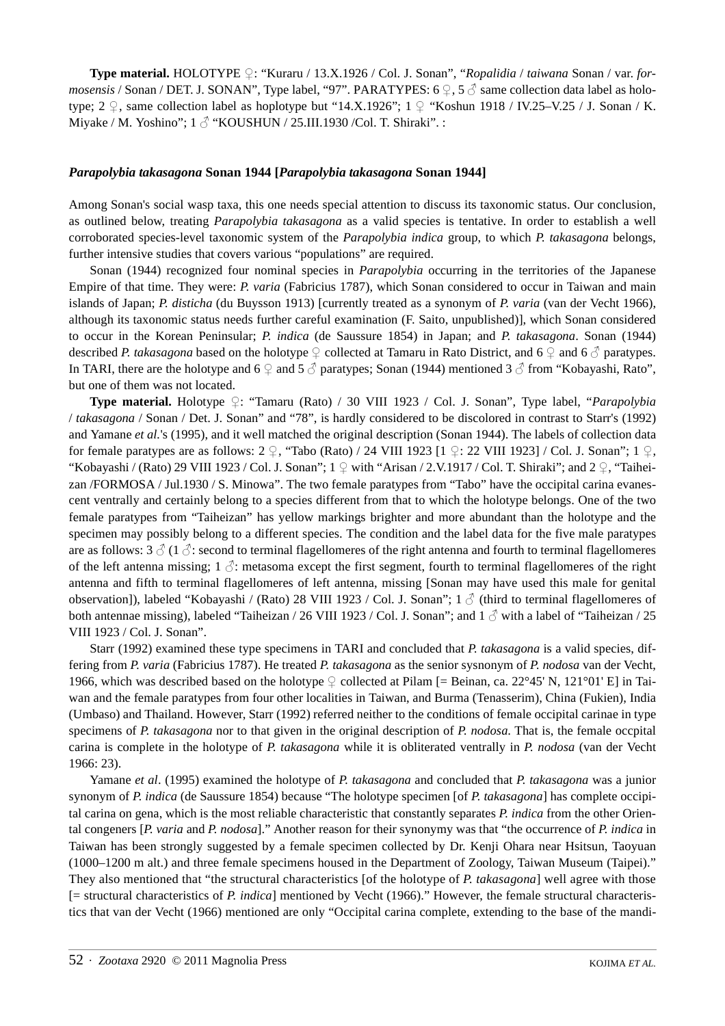**Type material.** HOLOTYPE ♀: "Kuraru / 13.X.1926 / Col. J. Sonan", "*Ropalidia* / *taiwana* Sonan / var. *formosensis* / Sonan / DET. J. SONAN", Type label, "97". PARATYPES: 6  $\circ$ , 5  $\circ$  same collection data label as holotype; 2  $\varphi$ , same collection label as hoplotype but "14.X.1926"; 1  $\varphi$  "Koshun 1918 / IV.25–V.25 / J. Sonan / K. Miyake / M. Yoshino";  $1 \text{ } \textcircled{}$  "KOUSHUN / 25.III.1930 /Col. T. Shiraki". :

# *Parapolybia takasagona* **Sonan 1944 [***Parapolybia takasagona* **Sonan 1944]**

Among Sonan's social wasp taxa, this one needs special attention to discuss its taxonomic status. Our conclusion, as outlined below, treating *Parapolybia takasagona* as a valid species is tentative. In order to establish a well corroborated species-level taxonomic system of the *Parapolybia indica* group, to which *P. takasagona* belongs, further intensive studies that covers various "populations" are required.

Sonan (1944) recognized four nominal species in *Parapolybia* occurring in the territories of the Japanese Empire of that time. They were: *P. varia* (Fabricius 1787), which Sonan considered to occur in Taiwan and main islands of Japan; *P. disticha* (du Buysson 1913) [currently treated as a synonym of *P. varia* (van der Vecht 1966), although its taxonomic status needs further careful examination (F. Saito, unpublished)], which Sonan considered to occur in the Korean Peninsular; *P. indica* (de Saussure 1854) in Japan; and *P. takasagona*. Sonan (1944) described *P. takasagona* based on the holotype  $\mathcal Q$  collected at Tamaru in Rato District, and 6  $\mathcal Q$  and 6  $\mathcal Z$  paratypes. In TARI, there are the holotype and 6  $\varphi$  and 5  $\varphi$  paratypes; Sonan (1944) mentioned 3  $\varphi$  from "Kobayashi, Rato", but one of them was not located.

**Type material.** Holotype ♀: "Tamaru (Rato) / 30 VIII 1923 / Col. J. Sonan", Type label, "*Parapolybia* / *takasagona* / Sonan / Det. J. Sonan" and "78", is hardly considered to be discolored in contrast to Starr's (1992) and Yamane *et al.*'s (1995), and it well matched the original description (Sonan 1944). The labels of collection data for female paratypes are as follows:  $2 \nsubseteq$ , "Tabo (Rato) / 24 VIII 1923 [1  $\subseteq$ : 22 VIII 1923] / Col. J. Sonan"; 1  $\subseteq$ , "Kobayashi / (Rato) 29 VIII 1923 / Col. J. Sonan";  $1 \nsubseteq$  with "Arisan / 2.V.1917 / Col. T. Shiraki"; and  $2 \nsubseteq$ , "Taiheizan /FORMOSA / Jul.1930 / S. Minowa". The two female paratypes from "Tabo" have the occipital carina evanescent ventrally and certainly belong to a species different from that to which the holotype belongs. One of the two female paratypes from "Taiheizan" has yellow markings brighter and more abundant than the holotype and the specimen may possibly belong to a different species. The condition and the label data for the five male paratypes are as follows:  $3 \text{ } \textcircled{}$  (1  $\textcircled{}$ : second to terminal flagellomeres of the right antenna and fourth to terminal flagellomeres of the left antenna missing; 1  $\Diamond$ : metasoma except the first segment, fourth to terminal flagellomeres of the right antenna and fifth to terminal flagellomeres of left antenna, missing [Sonan may have used this male for genital observation]), labeled "Kobayashi / (Rato) 28 VIII 1923 / Col. J. Sonan"; 1  $\circled$  (third to terminal flagellomeres of both antennae missing), labeled "Taiheizan / 26 VIII 1923 / Col. J. Sonan"; and  $1 \text{ } \circled$  with a label of "Taiheizan / 25 VIII 1923 / Col. J. Sonan".

Starr (1992) examined these type specimens in TARI and concluded that *P. takasagona* is a valid species, differing from *P. varia* (Fabricius 1787). He treated *P. takasagona* as the senior sysnonym of *P. nodosa* van der Vecht, 1966, which was described based on the holotype  $\varphi$  collected at Pilam [= Beinan, ca. 22°45' N, 121°01' E] in Taiwan and the female paratypes from four other localities in Taiwan, and Burma (Tenasserim), China (Fukien), India (Umbaso) and Thailand. However, Starr (1992) referred neither to the conditions of female occipital carinae in type specimens of *P. takasagona* nor to that given in the original description of *P. nodosa*. That is, the female occpital carina is complete in the holotype of *P. takasagona* while it is obliterated ventrally in *P. nodosa* (van der Vecht 1966: 23).

Yamane *et al*. (1995) examined the holotype of *P. takasagona* and concluded that *P. takasagona* was a junior synonym of *P. indica* (de Saussure 1854) because "The holotype specimen [of *P. takasagona*] has complete occipital carina on gena, which is the most reliable characteristic that constantly separates *P. indica* from the other Oriental congeners [*P. varia* and *P. nodosa*]." Another reason for their synonymy was that "the occurrence of *P. indica* in Taiwan has been strongly suggested by a female specimen collected by Dr. Kenji Ohara near Hsitsun, Taoyuan (1000–1200 m alt.) and three female specimens housed in the Department of Zoology, Taiwan Museum (Taipei)." They also mentioned that "the structural characteristics [of the holotype of *P. takasagona*] well agree with those [= structural characteristics of *P. indica*] mentioned by Vecht (1966)." However, the female structural characteristics that van der Vecht (1966) mentioned are only "Occipital carina complete, extending to the base of the mandi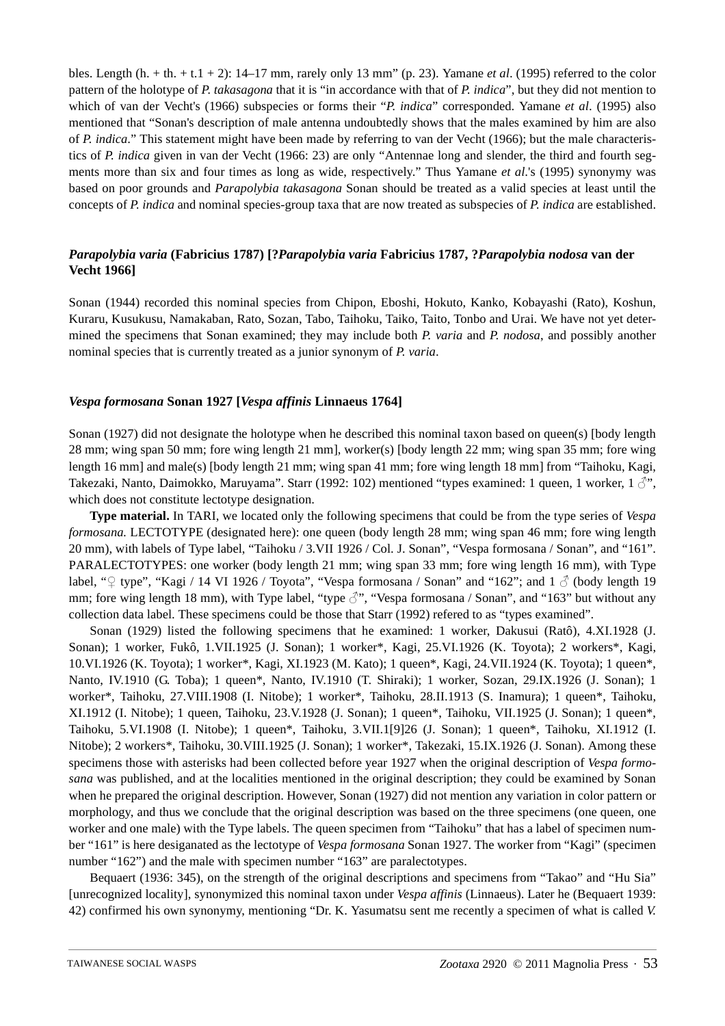bles. Length (h. + th. + t.1 + 2): 14–17 mm, rarely only 13 mm" (p. 23). Yamane *et al*. (1995) referred to the color pattern of the holotype of *P. takasagona* that it is "in accordance with that of *P. indica*", but they did not mention to which of van der Vecht's (1966) subspecies or forms their "*P. indica*" corresponded. Yamane *et al*. (1995) also mentioned that "Sonan's description of male antenna undoubtedly shows that the males examined by him are also of *P. indica*." This statement might have been made by referring to van der Vecht (1966); but the male characteristics of *P. indica* given in van der Vecht (1966: 23) are only "Antennae long and slender, the third and fourth segments more than six and four times as long as wide, respectively." Thus Yamane *et al*.'s (1995) synonymy was based on poor grounds and *Parapolybia takasagona* Sonan should be treated as a valid species at least until the concepts of *P. indica* and nominal species-group taxa that are now treated as subspecies of *P. indica* are established.

# *Parapolybia varia* **(Fabricius 1787) [?***Parapolybia varia* **Fabricius 1787, ?***Parapolybia nodosa* **van der Vecht 1966]**

Sonan (1944) recorded this nominal species from Chipon, Eboshi, Hokuto, Kanko, Kobayashi (Rato), Koshun, Kuraru, Kusukusu, Namakaban, Rato, Sozan, Tabo, Taihoku, Taiko, Taito, Tonbo and Urai. We have not yet determined the specimens that Sonan examined; they may include both *P. varia* and *P. nodosa*, and possibly another nominal species that is currently treated as a junior synonym of *P. varia*.

## *Vespa formosana* **Sonan 1927 [***Vespa affinis* **Linnaeus 1764]**

Sonan (1927) did not designate the holotype when he described this nominal taxon based on queen(s) [body length 28 mm; wing span 50 mm; fore wing length 21 mm], worker(s) [body length 22 mm; wing span 35 mm; fore wing length 16 mm] and male(s) [body length 21 mm; wing span 41 mm; fore wing length 18 mm] from "Taihoku, Kagi, Takezaki, Nanto, Daimokko, Maruyama". Starr (1992: 102) mentioned "types examined: 1 queen, 1 worker,  $1 \, \beta$ ", which does not constitute lectotype designation.

**Type material.** In TARI, we located only the following specimens that could be from the type series of *Vespa formosana.* LECTOTYPE (designated here): one queen (body length 28 mm; wing span 46 mm; fore wing length 20 mm), with labels of Type label, "Taihoku / 3.VII 1926 / Col. J. Sonan", "Vespa formosana / Sonan", and "161". PARALECTOTYPES: one worker (body length 21 mm; wing span 33 mm; fore wing length 16 mm), with Type label, "♀ type", "Kagi / 14 VI 1926 / Toyota", "Vespa formosana / Sonan" and "162"; and 1  $\circled$  (body length 19 mm; fore wing length 18 mm), with Type label, "type  $\beta$ ", "Vespa formosana / Sonan", and "163" but without any collection data label. These specimens could be those that Starr (1992) refered to as "types examined".

Sonan (1929) listed the following specimens that he examined: 1 worker, Dakusui (Ratô), 4.XI.1928 (J. Sonan); 1 worker, Fukô, 1.VII.1925 (J. Sonan); 1 worker\*, Kagi, 25.VI.1926 (K. Toyota); 2 workers\*, Kagi, 10.VI.1926 (K. Toyota); 1 worker\*, Kagi, XI.1923 (M. Kato); 1 queen\*, Kagi, 24.VII.1924 (K. Toyota); 1 queen\*, Nanto, IV.1910 (G. Toba); 1 queen\*, Nanto, IV.1910 (T. Shiraki); 1 worker, Sozan, 29.IX.1926 (J. Sonan); 1 worker\*, Taihoku, 27.VIII.1908 (I. Nitobe); 1 worker\*, Taihoku, 28.II.1913 (S. Inamura); 1 queen\*, Taihoku, XI.1912 (I. Nitobe); 1 queen, Taihoku, 23.V.1928 (J. Sonan); 1 queen\*, Taihoku, VII.1925 (J. Sonan); 1 queen\*, Taihoku, 5.VI.1908 (I. Nitobe); 1 queen\*, Taihoku, 3.VII.1[9]26 (J. Sonan); 1 queen\*, Taihoku, XI.1912 (I. Nitobe); 2 workers\*, Taihoku, 30.VIII.1925 (J. Sonan); 1 worker\*, Takezaki, 15.IX.1926 (J. Sonan). Among these specimens those with asterisks had been collected before year 1927 when the original description of *Vespa formosana* was published, and at the localities mentioned in the original description; they could be examined by Sonan when he prepared the original description. However, Sonan (1927) did not mention any variation in color pattern or morphology, and thus we conclude that the original description was based on the three specimens (one queen, one worker and one male) with the Type labels. The queen specimen from "Taihoku" that has a label of specimen number "161" is here desiganated as the lectotype of *Vespa formosana* Sonan 1927. The worker from "Kagi" (specimen number "162") and the male with specimen number "163" are paralectotypes.

Bequaert (1936: 345), on the strength of the original descriptions and specimens from "Takao" and "Hu Sia" [unrecognized locality], synonymized this nominal taxon under *Vespa affinis* (Linnaeus). Later he (Bequaert 1939: 42) confirmed his own synonymy, mentioning "Dr. K. Yasumatsu sent me recently a specimen of what is called *V.*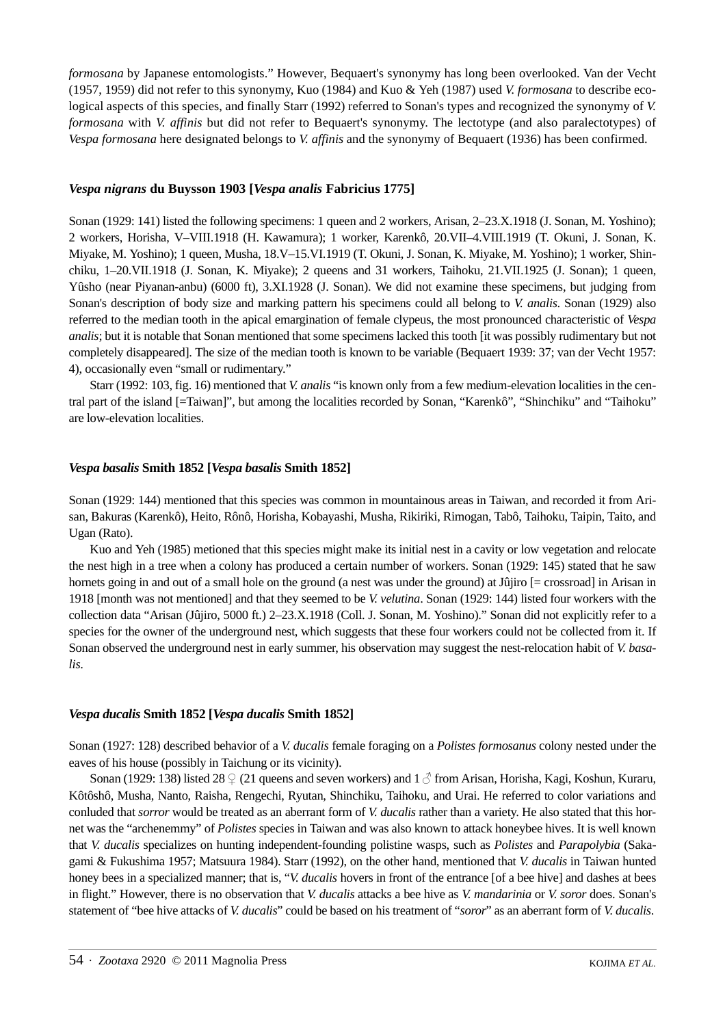*formosana* by Japanese entomologists." However, Bequaert's synonymy has long been overlooked. Van der Vecht (1957, 1959) did not refer to this synonymy, Kuo (1984) and Kuo & Yeh (1987) used *V. formosana* to describe ecological aspects of this species, and finally Starr (1992) referred to Sonan's types and recognized the synonymy of *V. formosana* with *V. affinis* but did not refer to Bequaert's synonymy. The lectotype (and also paralectotypes) of *Vespa formosana* here designated belongs to *V. affinis* and the synonymy of Bequaert (1936) has been confirmed.

### *Vespa nigrans* **du Buysson 1903 [***Vespa analis* **Fabricius 1775]**

Sonan (1929: 141) listed the following specimens: 1 queen and 2 workers, Arisan, 2–23.X.1918 (J. Sonan, M. Yoshino); 2 workers, Horisha, V–VIII.1918 (H. Kawamura); 1 worker, Karenkô, 20.VII–4.VIII.1919 (T. Okuni, J. Sonan, K. Miyake, M. Yoshino); 1 queen, Musha, 18.V–15.VI.1919 (T. Okuni, J. Sonan, K. Miyake, M. Yoshino); 1 worker, Shinchiku, 1–20.VII.1918 (J. Sonan, K. Miyake); 2 queens and 31 workers, Taihoku, 21.VII.1925 (J. Sonan); 1 queen, Yûsho (near Piyanan-anbu) (6000 ft), 3.XI.1928 (J. Sonan). We did not examine these specimens, but judging from Sonan's description of body size and marking pattern his specimens could all belong to *V. analis*. Sonan (1929) also referred to the median tooth in the apical emargination of female clypeus, the most pronounced characteristic of *Vespa analis*; but it is notable that Sonan mentioned that some specimens lacked this tooth [it was possibly rudimentary but not completely disappeared]. The size of the median tooth is known to be variable (Bequaert 1939: 37; van der Vecht 1957: 4), occasionally even "small or rudimentary."

Starr (1992: 103, fig. 16) mentioned that *V. analis* "is known only from a few medium-elevation localities in the central part of the island [=Taiwan]", but among the localities recorded by Sonan, "Karenkô", "Shinchiku" and "Taihoku" are low-elevation localities.

### *Vespa basalis* **Smith 1852 [***Vespa basalis* **Smith 1852]**

Sonan (1929: 144) mentioned that this species was common in mountainous areas in Taiwan, and recorded it from Arisan, Bakuras (Karenkô), Heito, Rônô, Horisha, Kobayashi, Musha, Rikiriki, Rimogan, Tabô, Taihoku, Taipin, Taito, and Ugan (Rato).

Kuo and Yeh (1985) metioned that this species might make its initial nest in a cavity or low vegetation and relocate the nest high in a tree when a colony has produced a certain number of workers. Sonan (1929: 145) stated that he saw hornets going in and out of a small hole on the ground (a nest was under the ground) at Jûjiro [= crossroad] in Arisan in 1918 [month was not mentioned] and that they seemed to be *V. velutina*. Sonan (1929: 144) listed four workers with the collection data "Arisan (Jûjiro, 5000 ft.) 2–23.X.1918 (Coll. J. Sonan, M. Yoshino)." Sonan did not explicitly refer to a species for the owner of the underground nest, which suggests that these four workers could not be collected from it. If Sonan observed the underground nest in early summer, his observation may suggest the nest-relocation habit of *V. basalis*.

## *Vespa ducalis* **Smith 1852 [***Vespa ducalis* **Smith 1852]**

Sonan (1927: 128) described behavior of a *V. ducalis* female foraging on a *Polistes formosanus* colony nested under the eaves of his house (possibly in Taichung or its vicinity).

Sonan (1929: 138) listed 28  $\circ$  (21 queens and seven workers) and 1  $\circ$  from Arisan, Horisha, Kagi, Koshun, Kuraru, Kôtôshô, Musha, Nanto, Raisha, Rengechi, Ryutan, Shinchiku, Taihoku, and Urai. He referred to color variations and conluded that *sorror* would be treated as an aberrant form of *V. ducalis* rather than a variety. He also stated that this hornet was the "archenemmy" of *Polistes* species in Taiwan and was also known to attack honeybee hives. It is well known that *V. ducalis* specializes on hunting independent-founding polistine wasps, such as *Polistes* and *Parapolybia* (Sakagami & Fukushima 1957; Matsuura 1984). Starr (1992), on the other hand, mentioned that *V. ducalis* in Taiwan hunted honey bees in a specialized manner; that is, "*V. ducalis* hovers in front of the entrance [of a bee hive] and dashes at bees in flight." However, there is no observation that *V. ducalis* attacks a bee hive as *V. mandarinia* or *V. soror* does. Sonan's statement of "bee hive attacks of *V. ducalis*" could be based on his treatment of "*soror*" as an aberrant form of *V. ducalis*.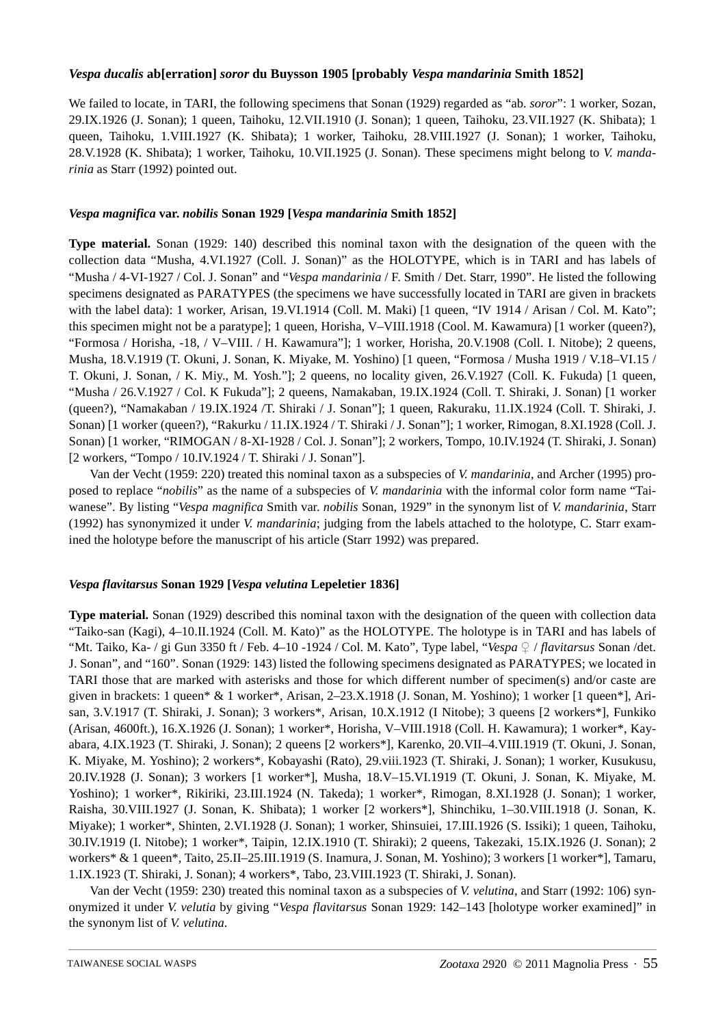## *Vespa ducalis* **ab[erration]** *soror* **du Buysson 1905 [probably** *Vespa mandarinia* **Smith 1852]**

We failed to locate, in TARI, the following specimens that Sonan (1929) regarded as "ab. *soror*": 1 worker, Sozan, 29.IX.1926 (J. Sonan); 1 queen, Taihoku, 12.VII.1910 (J. Sonan); 1 queen, Taihoku, 23.VII.1927 (K. Shibata); 1 queen, Taihoku, 1.VIII.1927 (K. Shibata); 1 worker, Taihoku, 28.VIII.1927 (J. Sonan); 1 worker, Taihoku, 28.V.1928 (K. Shibata); 1 worker, Taihoku, 10.VII.1925 (J. Sonan). These specimens might belong to *V. mandarinia* as Starr (1992) pointed out.

# *Vespa magnifica* **var.** *nobilis* **Sonan 1929 [***Vespa mandarinia* **Smith 1852]**

**Type material.** Sonan (1929: 140) described this nominal taxon with the designation of the queen with the collection data "Musha, 4.VI.1927 (Coll. J. Sonan)" as the HOLOTYPE, which is in TARI and has labels of "Musha / 4-VI-1927 / Col. J. Sonan" and "*Vespa mandarinia* / F. Smith / Det. Starr, 1990". He listed the following specimens designated as PARATYPES (the specimens we have successfully located in TARI are given in brackets with the label data): 1 worker, Arisan, 19.VI.1914 (Coll. M. Maki) [1 queen, "IV 1914 / Arisan / Col. M. Kato"; this specimen might not be a paratype]; 1 queen, Horisha, V–VIII.1918 (Cool. M. Kawamura) [1 worker (queen?), "Formosa / Horisha, -18, / V–VIII. / H. Kawamura"]; 1 worker, Horisha, 20.V.1908 (Coll. I. Nitobe); 2 queens, Musha, 18.V.1919 (T. Okuni, J. Sonan, K. Miyake, M. Yoshino) [1 queen, "Formosa / Musha 1919 / V.18–VI.15 / T. Okuni, J. Sonan, / K. Miy., M. Yosh."]; 2 queens, no locality given, 26.V.1927 (Coll. K. Fukuda) [1 queen, "Musha / 26.V.1927 / Col. K Fukuda"]; 2 queens, Namakaban, 19.IX.1924 (Coll. T. Shiraki, J. Sonan) [1 worker (queen?), "Namakaban / 19.IX.1924 /T. Shiraki / J. Sonan"]; 1 queen, Rakuraku, 11.IX.1924 (Coll. T. Shiraki, J. Sonan) [1 worker (queen?), "Rakurku / 11.IX.1924 / T. Shiraki / J. Sonan"]; 1 worker, Rimogan, 8.XI.1928 (Coll. J. Sonan) [1 worker, "RIMOGAN / 8-XI-1928 / Col. J. Sonan"]; 2 workers, Tompo, 10.IV.1924 (T. Shiraki, J. Sonan) [2 workers, "Tompo / 10.IV.1924 / T. Shiraki / J. Sonan"].

Van der Vecht (1959: 220) treated this nominal taxon as a subspecies of *V. mandarinia*, and Archer (1995) proposed to replace "*nobilis*" as the name of a subspecies of *V. mandarinia* with the informal color form name "Taiwanese". By listing "*Vespa magnifica* Smith var. *nobilis* Sonan, 1929" in the synonym list of *V. mandarinia*, Starr (1992) has synonymized it under *V. mandarinia*; judging from the labels attached to the holotype, C. Starr examined the holotype before the manuscript of his article (Starr 1992) was prepared.

## *Vespa flavitarsus* **Sonan 1929 [***Vespa velutina* **Lepeletier 1836]**

**Type material.** Sonan (1929) described this nominal taxon with the designation of the queen with collection data "Taiko-san (Kagi), 4–10.II.1924 (Coll. M. Kato)" as the HOLOTYPE. The holotype is in TARI and has labels of "Mt. Taiko, Ka- / gi Gun 3350 ft / Feb. 4–10 -1924 / Col. M. Kato", Type label, "*Vespa* ♀ / *flavitarsus* Sonan /det. J. Sonan", and "160". Sonan (1929: 143) listed the following specimens designated as PARATYPES; we located in TARI those that are marked with asterisks and those for which different number of specimen(s) and/or caste are given in brackets: 1 queen\* & 1 worker\*, Arisan, 2–23.X.1918 (J. Sonan, M. Yoshino); 1 worker [1 queen\*], Arisan, 3.V.1917 (T. Shiraki, J. Sonan); 3 workers\*, Arisan, 10.X.1912 (I Nitobe); 3 queens [2 workers\*], Funkiko (Arisan, 4600ft.), 16.X.1926 (J. Sonan); 1 worker\*, Horisha, V–VIII.1918 (Coll. H. Kawamura); 1 worker\*, Kayabara, 4.IX.1923 (T. Shiraki, J. Sonan); 2 queens [2 workers\*], Karenko, 20.VII–4.VIII.1919 (T. Okuni, J. Sonan, K. Miyake, M. Yoshino); 2 workers\*, Kobayashi (Rato), 29.viii.1923 (T. Shiraki, J. Sonan); 1 worker, Kusukusu, 20.IV.1928 (J. Sonan); 3 workers [1 worker\*], Musha, 18.V–15.VI.1919 (T. Okuni, J. Sonan, K. Miyake, M. Yoshino); 1 worker\*, Rikiriki, 23.III.1924 (N. Takeda); 1 worker\*, Rimogan, 8.XI.1928 (J. Sonan); 1 worker, Raisha, 30.VIII.1927 (J. Sonan, K. Shibata); 1 worker [2 workers\*], Shinchiku, 1–30.VIII.1918 (J. Sonan, K. Miyake); 1 worker\*, Shinten, 2.VI.1928 (J. Sonan); 1 worker, Shinsuiei, 17.III.1926 (S. Issiki); 1 queen, Taihoku, 30.IV.1919 (I. Nitobe); 1 worker\*, Taipin, 12.IX.1910 (T. Shiraki); 2 queens, Takezaki, 15.IX.1926 (J. Sonan); 2 workers\* & 1 queen\*, Taito, 25.II–25.III.1919 (S. Inamura, J. Sonan, M. Yoshino); 3 workers [1 worker\*], Tamaru, 1.IX.1923 (T. Shiraki, J. Sonan); 4 workers\*, Tabo, 23.VIII.1923 (T. Shiraki, J. Sonan).

Van der Vecht (1959: 230) treated this nominal taxon as a subspecies of *V. velutina*, and Starr (1992: 106) synonymized it under *V. velutia* by giving "*Vespa flavitarsus* Sonan 1929: 142–143 [holotype worker examined]" in the synonym list of *V. velutina*.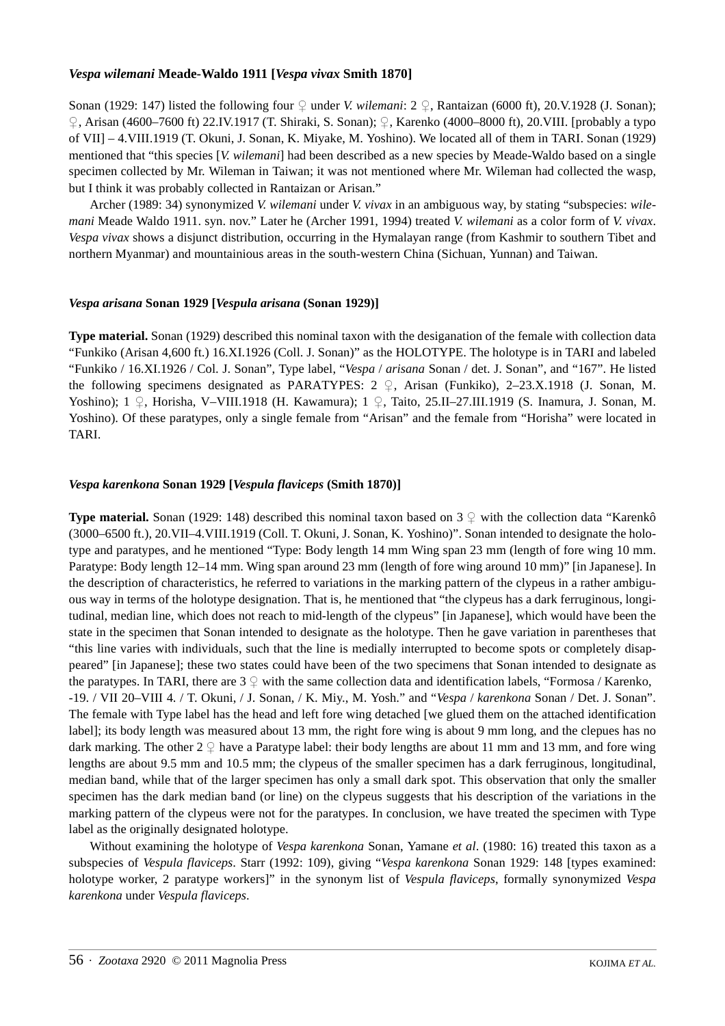### *Vespa wilemani* **Meade-Waldo 1911 [***Vespa vivax* **Smith 1870]**

Sonan (1929: 147) listed the following four ♀ under *V. wilemani*: 2 ♀, Rantaizan (6000 ft), 20.V.1928 (J. Sonan); ♀, Arisan (4600–7600 ft) 22.IV.1917 (T. Shiraki, S. Sonan); ♀, Karenko (4000–8000 ft), 20.VIII. [probably a typo of VII] – 4.VIII.1919 (T. Okuni, J. Sonan, K. Miyake, M. Yoshino). We located all of them in TARI. Sonan (1929) mentioned that "this species [*V. wilemani*] had been described as a new species by Meade-Waldo based on a single specimen collected by Mr. Wileman in Taiwan; it was not mentioned where Mr. Wileman had collected the wasp, but I think it was probably collected in Rantaizan or Arisan."

Archer (1989: 34) synonymized *V. wilemani* under *V. vivax* in an ambiguous way, by stating "subspecies: *wilemani* Meade Waldo 1911. syn. nov." Later he (Archer 1991, 1994) treated *V. wilemani* as a color form of *V. vivax*. *Vespa vivax* shows a disjunct distribution, occurring in the Hymalayan range (from Kashmir to southern Tibet and northern Myanmar) and mountainious areas in the south-western China (Sichuan, Yunnan) and Taiwan.

### *Vespa arisana* **Sonan 1929 [***Vespula arisana* **(Sonan 1929)]**

**Type material.** Sonan (1929) described this nominal taxon with the desiganation of the female with collection data "Funkiko (Arisan 4,600 ft.) 16.XI.1926 (Coll. J. Sonan)" as the HOLOTYPE. The holotype is in TARI and labeled "Funkiko / 16.XI.1926 / Col. J. Sonan", Type label, "*Vespa* / *arisana* Sonan / det. J. Sonan", and "167". He listed the following specimens designated as PARATYPES: 2  $\downarrow$ , Arisan (Funkiko), 2–23.X.1918 (J. Sonan, M. Yoshino); 1 ♀, Horisha, V–VIII.1918 (H. Kawamura); 1 ♀, Taito, 25.II–27.III.1919 (S. Inamura, J. Sonan, M. Yoshino). Of these paratypes, only a single female from "Arisan" and the female from "Horisha" were located in TARI.

### *Vespa karenkona* **Sonan 1929 [***Vespula flaviceps* **(Smith 1870)]**

**Type material.** Sonan (1929: 148) described this nominal taxon based on  $3 \nsubseteq$  with the collection data "Karenkô" (3000–6500 ft.), 20.VII–4.VIII.1919 (Coll. T. Okuni, J. Sonan, K. Yoshino)". Sonan intended to designate the holotype and paratypes, and he mentioned "Type: Body length 14 mm Wing span 23 mm (length of fore wing 10 mm. Paratype: Body length 12–14 mm. Wing span around 23 mm (length of fore wing around 10 mm)" [in Japanese]. In the description of characteristics, he referred to variations in the marking pattern of the clypeus in a rather ambiguous way in terms of the holotype designation. That is, he mentioned that "the clypeus has a dark ferruginous, longitudinal, median line, which does not reach to mid-length of the clypeus" [in Japanese], which would have been the state in the specimen that Sonan intended to designate as the holotype. Then he gave variation in parentheses that "this line varies with individuals, such that the line is medially interrupted to become spots or completely disappeared" [in Japanese]; these two states could have been of the two specimens that Sonan intended to designate as the paratypes. In TARI, there are  $3 \nsubseteq$  with the same collection data and identification labels, "Formosa / Karenko, -19. / VII 20–VIII 4. / T. Okuni, / J. Sonan, / K. Miy., M. Yosh." and "*Vespa* / *karenkona* Sonan / Det. J. Sonan". The female with Type label has the head and left fore wing detached [we glued them on the attached identification label]; its body length was measured about 13 mm, the right fore wing is about 9 mm long, and the clepues has no dark marking. The other  $2 \nsubseteq$  have a Paratype label: their body lengths are about 11 mm and 13 mm, and fore wing lengths are about 9.5 mm and 10.5 mm; the clypeus of the smaller specimen has a dark ferruginous, longitudinal, median band, while that of the larger specimen has only a small dark spot. This observation that only the smaller specimen has the dark median band (or line) on the clypeus suggests that his description of the variations in the marking pattern of the clypeus were not for the paratypes. In conclusion, we have treated the specimen with Type label as the originally designated holotype.

Without examining the holotype of *Vespa karenkona* Sonan, Yamane *et al*. (1980: 16) treated this taxon as a subspecies of *Vespula flaviceps*. Starr (1992: 109), giving "*Vespa karenkona* Sonan 1929: 148 [types examined: holotype worker, 2 paratype workers]" in the synonym list of *Vespula flaviceps*, formally synonymized *Vespa karenkona* under *Vespula flaviceps*.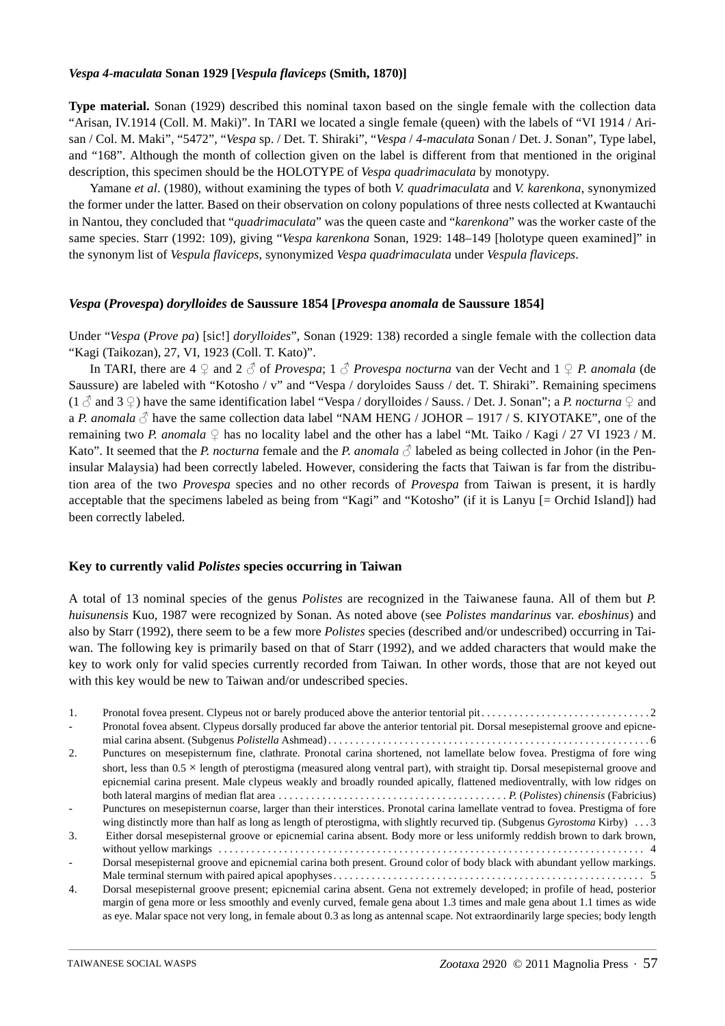#### *Vespa 4-maculata* **Sonan 1929 [***Vespula flaviceps* **(Smith, 1870)]**

**Type material.** Sonan (1929) described this nominal taxon based on the single female with the collection data "Arisan, IV.1914 (Coll. M. Maki)". In TARI we located a single female (queen) with the labels of "VI 1914 / Arisan / Col. M. Maki", "5472", "*Vespa* sp. / Det. T. Shiraki", "*Vespa* / *4-maculata* Sonan / Det. J. Sonan", Type label, and "168". Although the month of collection given on the label is different from that mentioned in the original description, this specimen should be the HOLOTYPE of *Vespa quadrimaculata* by monotypy.

Yamane *et al*. (1980), without examining the types of both *V. quadrimaculata* and *V. karenkona*, synonymized the former under the latter. Based on their observation on colony populations of three nests collected at Kwantauchi in Nantou, they concluded that "*quadrimaculata*" was the queen caste and "*karenkona*" was the worker caste of the same species. Starr (1992: 109), giving "*Vespa karenkona* Sonan, 1929: 148–149 [holotype queen examined]" in the synonym list of *Vespula flaviceps*, synonymized *Vespa quadrimaculata* under *Vespula flaviceps*.

#### *Vespa* **(***Provespa***)** *dorylloides* **de Saussure 1854 [***Provespa anomala* **de Saussure 1854]**

Under "*Vespa* (*Prove pa*) [sic!] *dorylloides*", Sonan (1929: 138) recorded a single female with the collection data "Kagi (Taikozan), 27, VI, 1923 (Coll. T. Kato)".

In TARI, there are 4 ♀ and 2 ♂ of *Provespa*; 1 ♂ *Provespa nocturna* van der Vecht and 1 ♀ *P. anomala* (de Saussure) are labeled with "Kotosho / v" and "Vespa / doryloides Sauss / det. T. Shiraki". Remaining specimens (1  $\beta$  and 3  $\circ$ ) have the same identification label "Vespa / dorylloides / Sauss. / Det. J. Sonan"; a *P. nocturna*  $\circ$  and a *P. anomala*  $\Diamond$  have the same collection data label "NAM HENG / JOHOR – 1917 / S. KIYOTAKE", one of the remaining two *P. anomala*  $\Omega$  has no locality label and the other has a label "Mt. Taiko / Kagi / 27 VI 1923 / M. Kato". It seemed that the *P. nocturna* female and the *P. anomala*  $\Diamond$  labeled as being collected in Johor (in the Peninsular Malaysia) had been correctly labeled. However, considering the facts that Taiwan is far from the distribution area of the two *Provespa* species and no other records of *Provespa* from Taiwan is present, it is hardly acceptable that the specimens labeled as being from "Kagi" and "Kotosho" (if it is Lanyu [= Orchid Island]) had been correctly labeled.

#### **Key to currently valid** *Polistes* **species occurring in Taiwan**

A total of 13 nominal species of the genus *Polistes* are recognized in the Taiwanese fauna. All of them but *P. huisunensis* Kuo, 1987 were recognized by Sonan. As noted above (see *Polistes mandarinus* var. *eboshinus*) and also by Starr (1992), there seem to be a few more *Polistes* species (described and/or undescribed) occurring in Taiwan. The following key is primarily based on that of Starr (1992), and we added characters that would make the key to work only for valid species currently recorded from Taiwan. In other words, those that are not keyed out with this key would be new to Taiwan and/or undescribed species.

| 1.               |                                                                                                                                           |
|------------------|-------------------------------------------------------------------------------------------------------------------------------------------|
|                  | Pronotal fovea absent. Clypeus dorsally produced far above the anterior tentorial pit. Dorsal mesepisternal groove and epicne-            |
|                  |                                                                                                                                           |
| 2.               | Punctures on mesepisternum fine, clathrate. Pronotal carina shortened, not lamellate below fovea. Prestigma of fore wing                  |
|                  | short, less than $0.5 \times$ length of pterostigma (measured along ventral part), with straight tip. Dorsal mesepisternal groove and     |
|                  | epicnemial carina present. Male clypeus weakly and broadly rounded apically, flattened medioventrally, with low ridges on                 |
|                  |                                                                                                                                           |
|                  | Punctures on mesepisternun coarse, larger than their interstices. Pronotal carina lamellate ventrad to fovea. Prestigma of fore           |
|                  | wing distinctly more than half as long as length of pterostigma, with slightly recurved tip. (Subgenus <i>Gyrostoma</i> Kirby) $\ldots$ 3 |
| 3.               | Either dorsal mesepisternal groove or epicnemial carina absent. Body more or less uniformly reddish brown to dark brown,                  |
|                  |                                                                                                                                           |
|                  | Dorsal mesepisternal groove and epicnemial carina both present. Ground color of body black with abundant yellow markings.                 |
|                  |                                                                                                                                           |
| $\overline{4}$ . | Dorsal mesepisternal groove present; epicnemial carina absent. Gena not extremely developed; in profile of head, posterior                |
|                  | margin of gena more or less smoothly and evenly curved, female gena about 1.3 times and male gena about 1.1 times as wide                 |
|                  | as eye. Malar space not very long, in female about 0.3 as long as antennal scape. Not extraordinarily large species; body length          |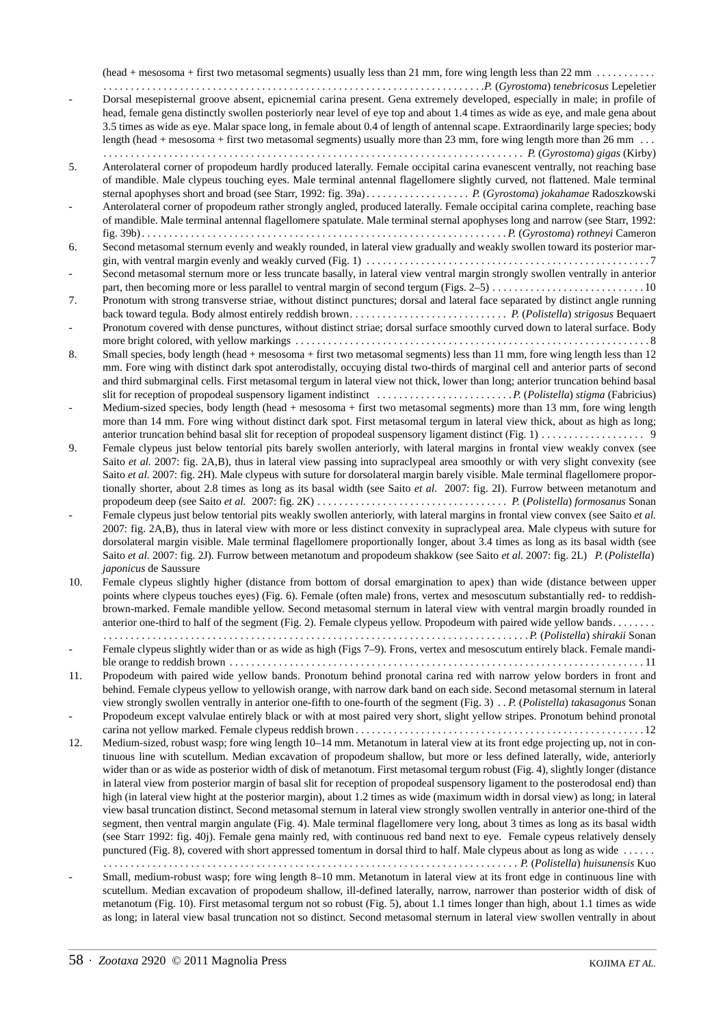(head + mesosoma + first two metasomal segments) usually less than 21 mm, fore wing length less than 22 mm . . . . . . . . . . . *. . . . . . . . . . . . . . . . . . . . . . . . . . . . . . . . . . . . . . . . . . . . . . . . . . . . . . . . . . . . . . . . . . . . . .P.* (*Gyrostoma*) *tenebricosus* Lepeletier - Dorsal mesepisternal groove absent, epicnemial carina present. Gena extremely developed, especially in male; in profile of head, female gena distinctly swollen posteriorly near level of eye top and about 1.4 times as wide as eye, and male gena about 3.5 times as wide as eye. Malar space long, in female about 0.4 of length of antennal scape. Extraordinarily large species; body length (head + mesosoma + first two metasomal segments) usually more than 23 mm, fore wing length more than 26 mm ... *. . . . . . . . . . . . . . . . . . . . . . . . . . . . . . . . . . . . . . . . . . . . . . . . . . . . . . . . . . . . . . . . . . . . . . . . . . . . . P.* (*Gyrostoma*) *gigas* (Kirby) 5. Anterolateral corner of propodeum hardly produced laterally. Female occipital carina evanescent ventrally, not reaching base of mandible. Male clypeus touching eyes. Male terminal antennal flagellomere slightly curved, not flattened. Male terminal sternal apophyses short and broad (see Starr, 1992: fig. 39a) . . . . . . . . . . . . . . . . . . . *P.* (*Gyrostoma*) *jokahamae* Radoszkowski - Anterolateral corner of propodeum rather strongly angled, produced laterally. Female occipital carina complete, reaching base of mandible. Male terminal antennal flagellomere spatulate. Male terminal sternal apophyses long and narrow (see Starr, 1992: fig. 39b)*. . . . . . . . . . . . . . . . . . . . . . . . . . . . . . . . . . . . . . . . . . . . . . . . . . . . . . . . . . . . . . . . . . . P.* (*Gyrostoma*) *rothneyi* Cameron 6. Second metasomal sternum evenly and weakly rounded, in lateral view gradually and weakly swollen toward its posterior margin, with ventral margin evenly and weakly curved (Fig. 1) . . . . . . . . . . . . . . . . . . . . . . . . . . . . . . . . . . . . . . . . . . . . . . . . . . . . 7 - Second metasomal sternum more or less truncate basally, in lateral view ventral margin strongly swollen ventrally in anterior part, then becoming more or less parallel to ventral margin of second tergum (Figs. 2–5) . . . . . . . . . . . . . . . . . . . . . . . . . . . . 10 7. Pronotum with strong transverse striae, without distinct punctures; dorsal and lateral face separated by distinct angle running back toward tegula. Body almost entirely reddish brown*. . . . . . . . . . . . . . . . . . . . . . . . . . . . . P.* (*Polistella*) *strigosus* Bequaert Pronotum covered with dense punctures, without distinct striae; dorsal surface smoothly curved down to lateral surface. Body more bright colored, with yellow markings . . . . . . . . . . . . . . . . . . . . . . . . . . . . . . . . . . . . . . . . . . . . . . . . . . . . . . . . . . . . . . . . . 8 8. Small species, body length (head + mesosoma + first two metasomal segments) less than 11 mm, fore wing length less than 12 mm. Fore wing with distinct dark spot anterodistally, occuying distal two-thirds of marginal cell and anterior parts of second and third submarginal cells. First metasomal tergum in lateral view not thick, lower than long; anterior truncation behind basal slit for reception of propodeal suspensory ligament indistinct *. . . . . . . . . . . . . . . . . . . . . . . . .P.* (*Polistella*) *stigma* (Fabricius) Medium-sized species, body length (head + mesosoma + first two metasomal segments) more than 13 mm, fore wing length more than 14 mm. Fore wing without distinct dark spot. First metasomal tergum in lateral view thick, about as high as long; anterior truncation behind basal slit for reception of propodeal suspensory ligament distinct (Fig. 1) . . . . . . . . . . . . . . . . . . . 9 9. Female clypeus just below tentorial pits barely swollen anteriorly, with lateral margins in frontal view weakly convex (see Saito *et al.* 2007: fig. 2A,B), thus in lateral view passing into supraclypeal area smoothly or with very slight convexity (see Saito *et al.* 2007: fig. 2H). Male clypeus with suture for dorsolateral margin barely visible. Male terminal flagellomere proportionally shorter, about 2.8 times as long as its basal width (see Saito *et al.* 2007: fig. 2I). Furrow between metanotum and propodeum deep (see Saito *et al.* 2007: fig. 2K) . . . . . . . . . . . . . . . . . . . . . . . . . . . . . . . . . . . *P.* (*Polistella*) *formosanus* Sonan Female clypeus just below tentorial pits weakly swollen anteriorly, with lateral margins in frontal view convex (see Saito *et al.*) 2007: fig. 2A,B), thus in lateral view with more or less distinct convexity in supraclypeal area. Male clypeus with suture for dorsolateral margin visible. Male terminal flagellomere proportionally longer, about 3.4 times as long as its basal width (see Saito *et al.* 2007: fig. 2J). Furrow between metanotum and propodeum shakkow (see Saito *et al.* 2007: fig. 2L) *P.* (*Polistella*) *japonicus* de Saussure 10. Female clypeus slightly higher (distance from bottom of dorsal emargination to apex) than wide (distance between upper points where clypeus touches eyes) (Fig. 6). Female (often male) frons, vertex and mesoscutum substantially red- to reddishbrown-marked. Female mandible yellow. Second metasomal sternum in lateral view with ventral margin broadly rounded in anterior one-third to half of the segment (Fig. 2). Female clypeus yellow. Propodeum with paired wide yellow bands. . . . . . . . *. . . . . . . . . . . . . . . . . . . . . . . . . . . . . . . . . . . . . . . . . . . . . . . . . . . . . . . . . . . . . . . . . . . . . . . . . . . . . .P.* (*Polistella*) *shirakii* Sonan Female clypeus slightly wider than or as wide as high (Figs 7–9). Frons, vertex and mesoscutum entirely black. Female mandible orange to reddish brown . . . . . . . . . . . . . . . . . . . . . . . . . . . . . . . . . . . . . . . . . . . . . . . . . . . . . . . . . . . . . . . . . . . . . . . . . . . . 11 11. Propodeum with paired wide yellow bands. Pronotum behind pronotal carina red with narrow yelow borders in front and behind. Female clypeus yellow to yellowish orange, with narrow dark band on each side. Second metasomal sternum in lateral view strongly swollen ventrally in anterior one-fifth to one-fourth of the segment (Fig. 3) *. . P.* (*Polistella*) *takasagonus* Sonan - Propodeum except valvulae entirely black or with at most paired very short, slight yellow stripes. Pronotum behind pronotal carina not yellow marked. Female clypeus reddish brown . . . . . . . . . . . . . . . . . . . . . . . . . . . . . . . . . . . . . . . . . . . . . . . . . . . . . 12 12. Medium-sized, robust wasp; fore wing length 10–14 mm. Metanotum in lateral view at its front edge projecting up, not in continuous line with scutellum. Median excavation of propodeum shallow, but more or less defined laterally, wide, anteriorly wider than or as wide as posterior width of disk of metanotum. First metasomal tergum robust (Fig. 4), slightly longer (distance in lateral view from posterior margin of basal slit for reception of propodeal suspensory ligament to the posterodosal end) than high (in lateral view hight at the posterior margin), about 1.2 times as wide (maximum width in dorsal view) as long; in lateral view basal truncation distinct. Second metasomal sternum in lateral view strongly swollen ventrally in anterior one-third of the segment, then ventral margin angulate (Fig. 4). Male terminal flagellomere very long, about 3 times as long as its basal width (see Starr 1992: fig. 40j). Female gena mainly red, with continuous red band next to eye. Female cypeus relatively densely punctured (Fig. 8), covered with short appressed tomentum in dorsal third to half. Male clypeus about as long as wide *. . . . . . . . . . . . . . . . . . . . . . . . . . . . . . . . . . . . . . . . . . . . . . . . . . . . . . . . . . . . . . . . . . . . . . . . . . . . . . . . . . P.* (*Polistella*) *huisunensis* Kuo - Small, medium-robust wasp; fore wing length 8–10 mm. Metanotum in lateral view at its front edge in continuous line with scutellum. Median excavation of propodeum shallow, ill-defined laterally, narrow, narrower than posterior width of disk of metanotum (Fig. 10). First metasomal tergum not so robust (Fig. 5), about 1.1 times longer than high, about 1.1 times as wide as long; in lateral view basal truncation not so distinct. Second metasomal sternum in lateral view swollen ventrally in about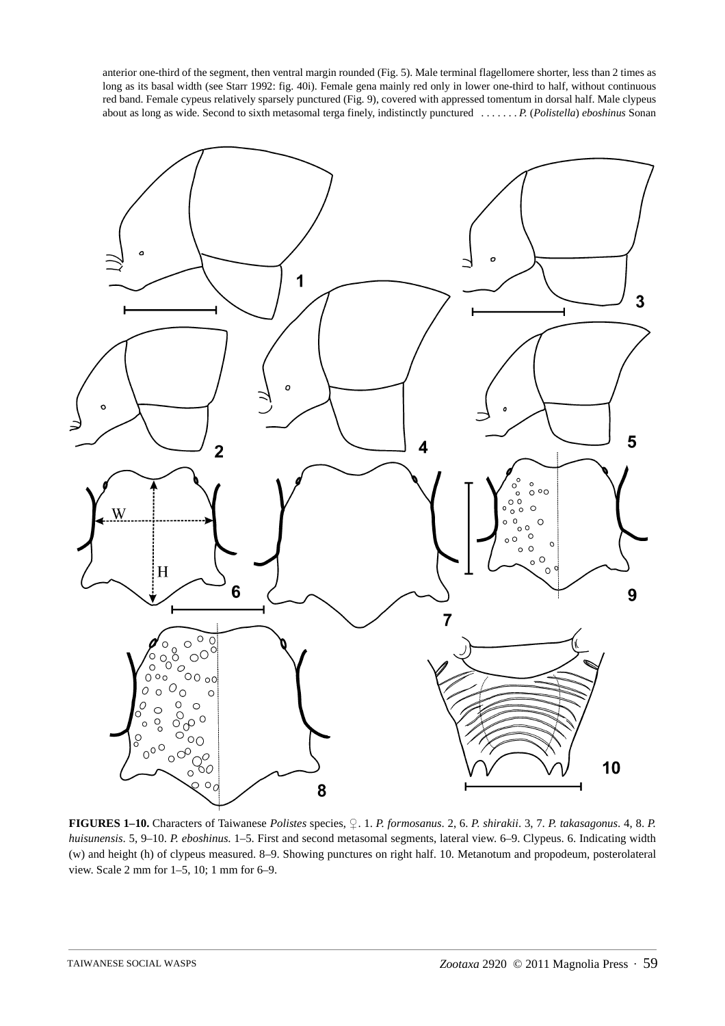anterior one-third of the segment, then ventral margin rounded (Fig. 5). Male terminal flagellomere shorter, less than 2 times as long as its basal width (see Starr 1992: fig. 40i). Female gena mainly red only in lower one-third to half, without continuous red band. Female cypeus relatively sparsely punctured (Fig. 9), covered with appressed tomentum in dorsal half. Male clypeus about as long as wide. Second to sixth metasomal terga finely, indistinctly punctured *. . . . . . . P.* (*Polistella*) *eboshinus* Sonan



**FIGURES 1–10.** Characters of Taiwanese *Polistes* species, ♀. 1. *P. formosanus*. 2, 6. *P. shirakii*. 3, 7. *P. takasagonus*. 4, 8. *P. huisunensis*. 5, 9–10. *P. eboshinus*. 1–5. First and second metasomal segments, lateral view. 6–9. Clypeus. 6. Indicating width (w) and height (h) of clypeus measured. 8–9. Showing punctures on right half. 10. Metanotum and propodeum, posterolateral view. Scale 2 mm for 1–5, 10; 1 mm for 6–9.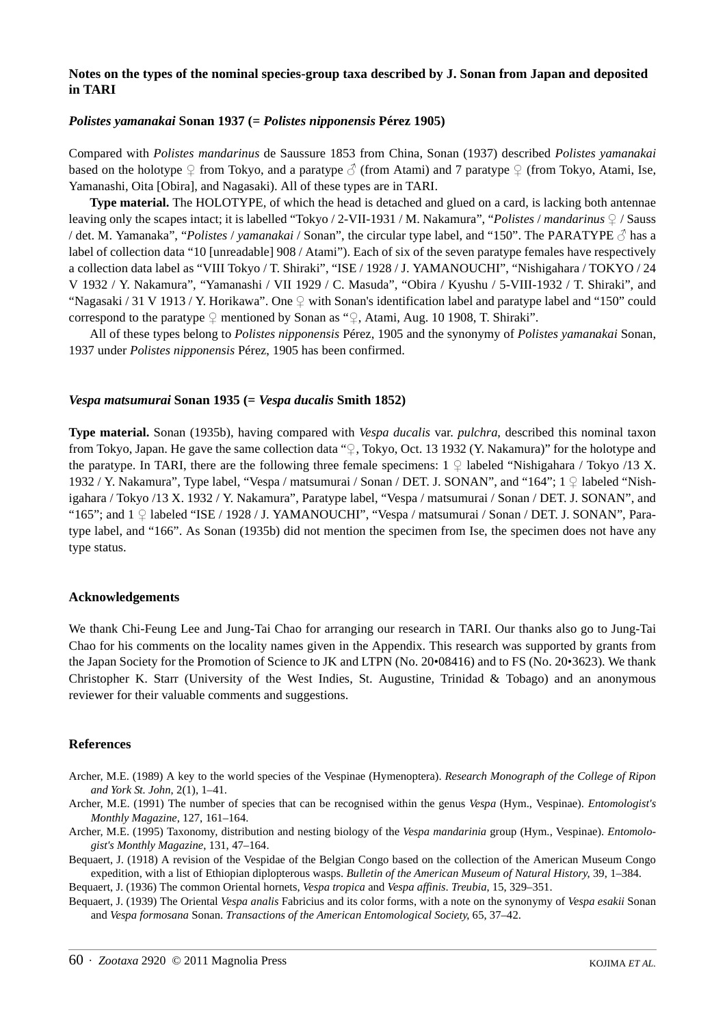# **Notes on the types of the nominal species-group taxa described by J. Sonan from Japan and deposited in TARI**

### *Polistes yamanakai* **Sonan 1937 (=** *Polistes nipponensis* **Pérez 1905)**

Compared with *Polistes mandarinus* de Saussure 1853 from China, Sonan (1937) described *Polistes yamanakai* based on the holotype ♀ from Tokyo, and a paratype ↑ (from Atami) and 7 paratype ♀ (from Tokyo, Atami, Ise, Yamanashi, Oita [Obira], and Nagasaki). All of these types are in TARI.

**Type material.** The HOLOTYPE, of which the head is detached and glued on a card, is lacking both antennae leaving only the scapes intact; it is labelled "Tokyo / 2-VII-1931 / M. Nakamura", "*Polistes* / *mandarinus* ♀ / Sauss / det. M. Yamanaka", "*Polistes* / *yamanakai* / Sonan", the circular type label, and "150". The PARATYPE ♂ has a label of collection data "10 [unreadable] 908 / Atami"). Each of six of the seven paratype females have respectively a collection data label as "VIII Tokyo / T. Shiraki", "ISE / 1928 / J. YAMANOUCHI", "Nishigahara / TOKYO / 24 V 1932 / Y. Nakamura", "Yamanashi / VII 1929 / C. Masuda", "Obira / Kyushu / 5-VIII-1932 / T. Shiraki", and "Nagasaki / 31 V 1913 / Y. Horikawa". One ♀ with Sonan's identification label and paratype label and "150" could correspond to the paratype ♀ mentioned by Sonan as "♀, Atami, Aug. 10 1908, T. Shiraki".

All of these types belong to *Polistes nipponensis* Pérez, 1905 and the synonymy of *Polistes yamanakai* Sonan, 1937 under *Polistes nipponensis* Pérez, 1905 has been confirmed.

#### *Vespa matsumurai* **Sonan 1935 (=** *Vespa ducalis* **Smith 1852)**

**Type material.** Sonan (1935b), having compared with *Vespa ducalis* var. *pulchra*, described this nominal taxon from Tokyo, Japan. He gave the same collection data "♀, Tokyo, Oct. 13 1932 (Y. Nakamura)" for the holotype and the paratype. In TARI, there are the following three female specimens:  $1 \nsubseteq$  labeled "Nishigahara / Tokyo /13 X. 1932 / Y. Nakamura", Type label, "Vespa / matsumurai / Sonan / DET. J. SONAN", and "164"; 1 ♀ labeled "Nishigahara / Tokyo /13 X. 1932 / Y. Nakamura", Paratype label, "Vespa / matsumurai / Sonan / DET. J. SONAN", and "165"; and 1 ♀ labeled "ISE / 1928 / J. YAMANOUCHI", "Vespa / matsumurai / Sonan / DET. J. SONAN", Paratype label, and "166". As Sonan (1935b) did not mention the specimen from Ise, the specimen does not have any type status.

#### **Acknowledgements**

We thank Chi-Feung Lee and Jung-Tai Chao for arranging our research in TARI. Our thanks also go to Jung-Tai Chao for his comments on the locality names given in the Appendix. This research was supported by grants from the Japan Society for the Promotion of Science to JK and LTPN (No. 20•08416) and to FS (No. 20•3623). We thank Christopher K. Starr (University of the West Indies, St. Augustine, Trinidad & Tobago) and an anonymous reviewer for their valuable comments and suggestions.

#### **References**

- Archer, M.E. (1989) A key to the world species of the Vespinae (Hymenoptera). *Research Monograph of the College of Ripon and York St. John*, 2(1), 1–41.
- Archer, M.E. (1991) The number of species that can be recognised within the genus *Vespa* (Hym., Vespinae). *Entomologist's Monthly Magazine*, 127, 161–164.
- Archer, M.E. (1995) Taxonomy, distribution and nesting biology of the *Vespa mandarinia* group (Hym., Vespinae). *Entomologist's Monthly Magazine*, 131, 47–164.
- Bequaert, J. (1918) A revision of the Vespidae of the Belgian Congo based on the collection of the American Museum Congo expedition, with a list of Ethiopian diplopterous wasps. *Bulletin of the American Museum of Natural History*, 39, 1–384.

Bequaert, J. (1936) The common Oriental hornets, *Vespa tropica* and *Vespa affinis*. *Treubia*, 15, 329–351.

Bequaert, J. (1939) The Oriental *Vespa analis* Fabricius and its color forms, with a note on the synonymy of *Vespa esakii* Sonan and *Vespa formosana* Sonan. *Transactions of the American Entomological Society*, 65, 37–42.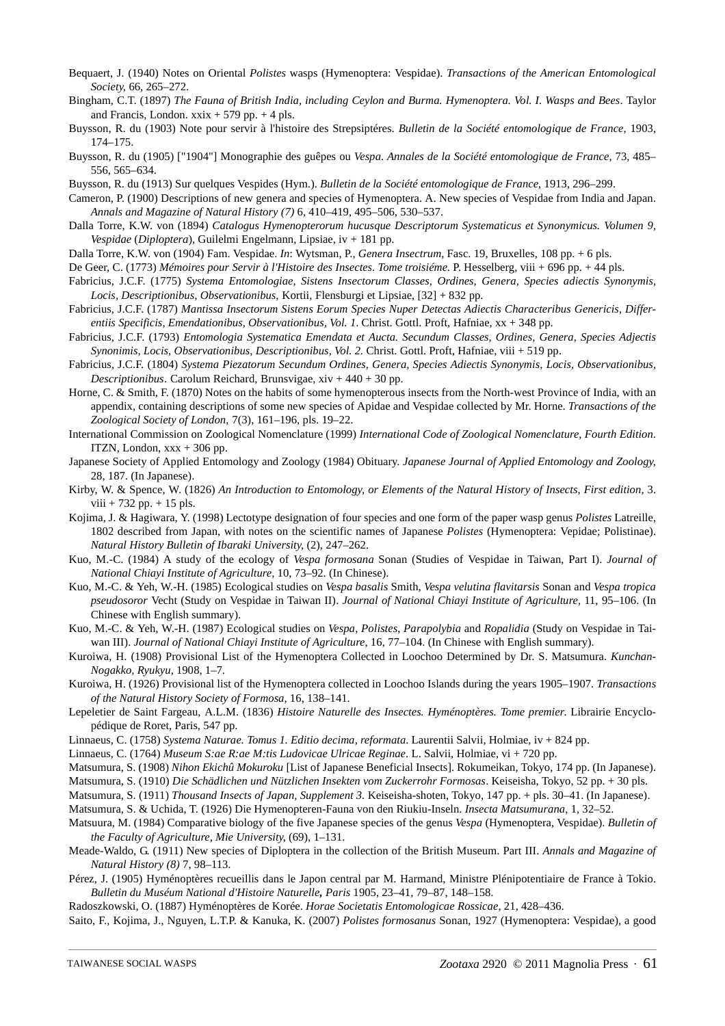- Bequaert, J. (1940) Notes on Oriental *Polistes* wasps (Hymenoptera: Vespidae). *Transactions of the American Entomological Society*, 66, 265–272.
- Bingham, C.T. (1897) *The Fauna of British India, including Ceylon and Burma. Hymenoptera. Vol. I. Wasps and Bees*. Taylor and Francis, London.  $x\overline{x}$  + 579 pp. + 4 pls.
- Buysson, R. du (1903) Note pour servir à l'histoire des Strepsiptéres. *Bulletin de la Société entomologique de France*, 1903, 174–175.
- Buysson, R. du (1905) ["1904"] Monographie des guêpes ou *Vespa*. *Annales de la Société entomologique de France*, 73, 485– 556, 565–634.
- Buysson, R. du (1913) Sur quelques Vespides (Hym.). *Bulletin de la Société entomologique de France*, 1913, 296–299.
- Cameron, P. (1900) Descriptions of new genera and species of Hymenoptera. A. New species of Vespidae from India and Japan. *Annals and Magazine of Natural History (7)* 6, 410–419, 495–506, 530–537.
- Dalla Torre, K.W. von (1894) *Catalogus Hymenopterorum hucusque Descriptorum Systematicus et Synonymicus. Volumen 9, Vespidae* (*Diploptera*), Guilelmi Engelmann, Lipsiae, iv + 181 pp.
- Dalla Torre, K.W. von (1904) Fam. Vespidae. *In*: Wytsman, P., *Genera Insectrum*, Fasc. 19, Bruxelles, 108 pp. + 6 pls.
- De Geer, C. (1773) *Mémoires pour Servir à l'Histoire des Insectes. Tome troisiéme.* P. Hesselberg, viii + 696 pp. + 44 pls.
- Fabricius, J.C.F. (1775) *Systema Entomologiae, Sistens Insectorum Classes, Ordines, Genera, Species adiectis Synonymis, Locis, Descriptionibus, Observationibus*, Kortii, Flensburgi et Lipsiae, [32] + 832 pp.
- Fabricius, J.C.F. (1787) *Mantissa Insectorum Sistens Eorum Species Nuper Detectas Adiectis Characteribus Genericis, Differentiis Specificis, Emendationibus, Observationibus, Vol. 1*. Christ. Gottl. Proft, Hafniae, xx + 348 pp.
- Fabricius, J.C.F. (1793) *Entomologia Systematica Emendata et Aucta. Secundum Classes, Ordines, Genera, Species Adjectis Synonimis, Locis, Observationibus, Descriptionibus, Vol. 2.* Christ. Gottl. Proft, Hafniae, viii + 519 pp.
- Fabricius, J.C.F. (1804) *Systema Piezatorum Secundum Ordines, Genera, Species Adiectis Synonymis, Locis, Observationibus, Descriptionibus*. Carolum Reichard, Brunsvigae, xiv + 440 + 30 pp.
- Horne, C. & Smith, F. (1870) Notes on the habits of some hymenopterous insects from the North-west Province of India, with an appendix, containing descriptions of some new species of Apidae and Vespidae collected by Mr. Horne. *Transactions of the Zoological Society of London*, 7(3), 161–196, pls. 19–22.
- International Commission on Zoological Nomenclature (1999) *International Code of Zoological Nomenclature, Fourth Edition*. ITZN, London, xxx + 306 pp.
- Japanese Society of Applied Entomology and Zoology (1984) Obituary. *Japanese Journal of Applied Entomology and Zoology*, 28, 187. (In Japanese).
- Kirby, W. & Spence, W. (1826) *An Introduction to Entomology, or Elements of the Natural History of Insects, First edition*, 3.  $viii + 732 pp. + 15 pls.$
- Kojima, J. & Hagiwara, Y. (1998) Lectotype designation of four species and one form of the paper wasp genus *Polistes* Latreille, 1802 described from Japan, with notes on the scientific names of Japanese *Polistes* (Hymenoptera: Vepidae; Polistinae). *Natural History Bulletin of Ibaraki University*, (2), 247–262.
- Kuo, M.-C. (1984) A study of the ecology of *Vespa formosana* Sonan (Studies of Vespidae in Taiwan, Part I). *Journal of National Chiayi Institute of Agriculture*, 10, 73–92. (In Chinese).
- Kuo, M.-C. & Yeh, W.-H. (1985) Ecological studies on *Vespa basalis* Smith, *Vespa velutina flavitarsis* Sonan and *Vespa tropica pseudosoror* Vecht (Study on Vespidae in Taiwan II). *Journal of National Chiayi Institute of Agriculture*, 11, 95–106. (In Chinese with English summary).
- Kuo, M.-C. & Yeh, W.-H. (1987) Ecological studies on *Vespa*, *Polistes*, *Parapolybia* and *Ropalidia* (Study on Vespidae in Taiwan III). *Journal of National Chiayi Institute of Agriculture*, 16, 77–104. (In Chinese with English summary).
- Kuroiwa, H. (1908) Provisional List of the Hymenoptera Collected in Loochoo Determined by Dr. S. Matsumura. *Kunchan-Nogakko, Ryukyu,* 1908, 1–7.
- Kuroiwa, H. (1926) Provisional list of the Hymenoptera collected in Loochoo Islands during the years 1905–1907. *Transactions of the Natural History Society of Formosa*, 16, 138–141.
- Lepeletier de Saint Fargeau, A.L.M. (1836) *Histoire Naturelle des Insectes. Hyménoptères. Tome premier*. Librairie Encyclopédique de Roret, Paris, 547 pp.
- Linnaeus, C. (1758) *Systema Naturae. Tomus 1. Editio decima, reformata*. Laurentii Salvii, Holmiae, iv + 824 pp.
- Linnaeus, C. (1764) *Museum S:ae R:ae M:tis Ludovicae Ulricae Reginae*. L. Salvii, Holmiae, vi + 720 pp.
- Matsumura, S. (1908) *Nihon Ekichû Mokuroku* [List of Japanese Beneficial Insects]. Rokumeikan, Tokyo, 174 pp. (In Japanese).
- Matsumura, S. (1910) *Die Schädlichen und Nützlichen Insekten vom Zuckerrohr Formosas*. Keiseisha, Tokyo, 52 pp. + 30 pls.
- Matsumura, S. (1911) *Thousand Insects of Japan, Supplement 3.* Keiseisha-shoten, Tokyo, 147 pp. + pls. 30–41. (In Japanese).
- Matsumura, S. & Uchida, T. (1926) Die Hymenopteren-Fauna von den Riukiu-Inseln. *Insecta Matsumurana*, 1, 32–52.
- Matsuura, M. (1984) Comparative biology of the five Japanese species of the genus *Vespa* (Hymenoptera, Vespidae). *Bulletin of the Faculty of Agriculture, Mie University*, (69), 1–131.
- Meade-Waldo, G. (1911) New species of Diploptera in the collection of the British Museum. Part III. *Annals and Magazine of Natural History (8)* 7, 98–113.
- Pérez, J. (1905) Hyménoptères recueillis dans le Japon central par M. Harmand, Ministre Plénipotentiaire de France à Tokio. *Bulletin du Muséum National d'Histoire Naturelle, Paris* 1905, 23–41, 79–87, 148–158.
- Radoszkowski, O. (1887) Hyménoptères de Korée. *Horae Societatis Entomologicae Rossicae*, 21, 428–436.
- Saito, F., Kojima, J., Nguyen, L.T.P. & Kanuka, K. (2007) *Polistes formosanus* Sonan, 1927 (Hymenoptera: Vespidae), a good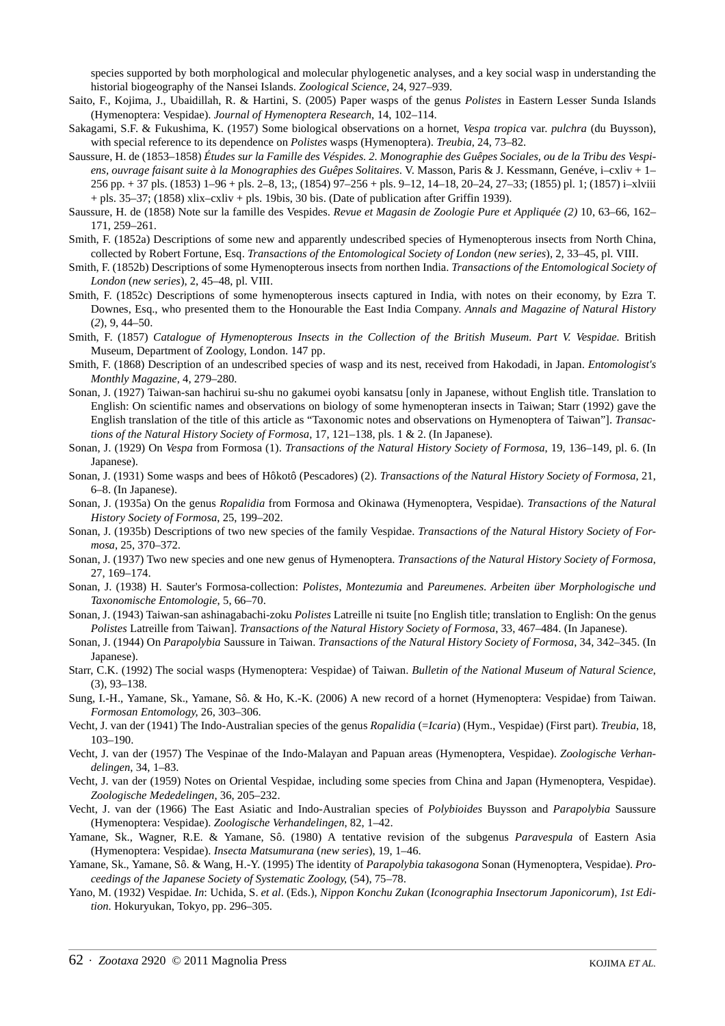species supported by both morphological and molecular phylogenetic analyses, and a key social wasp in understanding the historial biogeography of the Nansei Islands. *Zoological Science*, 24, 927–939.

- Saito, F., Kojima, J., Ubaidillah, R. & Hartini, S. (2005) Paper wasps of the genus *Polistes* in Eastern Lesser Sunda Islands (Hymenoptera: Vespidae). *Journal of Hymenoptera Research*, 14, 102–114.
- Sakagami, S.F. & Fukushima, K. (1957) Some biological observations on a hornet, *Vespa tropica* var. *pulchra* (du Buysson), with special reference to its dependence on *Polistes* wasps (Hymenoptera). *Treubia*, 24, 73–82.
- Saussure, H. de (1853–1858) *Études sur la Famille des Véspides. 2. Monographie des Guêpes Sociales, ou de la Tribu des Vespiens, ouvrage faisant suite à la Monographies des Guêpes Solitaires*. V. Masson, Paris & J. Kessmann, Genéve, i–cxliv + 1– 256 pp. + 37 pls. (1853) 1–96 + pls. 2–8, 13;, (1854) 97–256 + pls. 9–12, 14–18, 20–24, 27–33; (1855) pl. 1; (1857) i–xlviii + pls. 35–37; (1858) xlix–cxliv + pls. 19bis, 30 bis. (Date of publication after Griffin 1939).
- Saussure, H. de (1858) Note sur la famille des Vespides. *Revue et Magasin de Zoologie Pure et Appliquée (2)* 10, 63–66, 162– 171, 259–261.
- Smith, F. (1852a) Descriptions of some new and apparently undescribed species of Hymenopterous insects from North China, collected by Robert Fortune, Esq. *Transactions of the Entomological Society of London* (*new series*), 2, 33–45, pl. VIII.
- Smith, F. (1852b) Descriptions of some Hymenopterous insects from northen India. *Transactions of the Entomological Society of London* (*new series*), 2, 45–48, pl. VIII.
- Smith, F. (1852c) Descriptions of some hymenopterous insects captured in India, with notes on their economy, by Ezra T. Downes, Esq., who presented them to the Honourable the East India Company. *Annals and Magazine of Natural History* (*2*), 9, 44–50.
- Smith, F. (1857) *Catalogue of Hymenopterous Insects in the Collection of the British Museum. Part V. Vespidae.* British Museum, Department of Zoology, London. 147 pp.
- Smith, F. (1868) Description of an undescribed species of wasp and its nest, received from Hakodadi, in Japan. *Entomologist's Monthly Magazine*, 4, 279–280.
- Sonan, J. (1927) Taiwan-san hachirui su-shu no gakumei oyobi kansatsu [only in Japanese, without English title. Translation to English: On scientific names and observations on biology of some hymenopteran insects in Taiwan; Starr (1992) gave the English translation of the title of this article as "Taxonomic notes and observations on Hymenoptera of Taiwan"]. *Transactions of the Natural History Society of Formosa*, 17, 121–138, pls. 1 & 2. (In Japanese).
- Sonan, J. (1929) On *Vespa* from Formosa (1). *Transactions of the Natural History Society of Formosa*, 19, 136–149, pl. 6. (In Japanese).
- Sonan, J. (1931) Some wasps and bees of Hôkotô (Pescadores) (2). *Transactions of the Natural History Society of Formosa*, 21, 6–8. (In Japanese).
- Sonan, J. (1935a) On the genus *Ropalidia* from Formosa and Okinawa (Hymenoptera, Vespidae). *Transactions of the Natural History Society of Formosa*, 25, 199–202.
- Sonan, J. (1935b) Descriptions of two new species of the family Vespidae. *Transactions of the Natural History Society of Formosa*, 25, 370–372.
- Sonan, J. (1937) Two new species and one new genus of Hymenoptera. *Transactions of the Natural History Society of Formosa*, 27, 169–174.
- Sonan, J. (1938) H. Sauter's Formosa-collection: *Polistes*, *Montezumia* and *Pareumenes*. *Arbeiten über Morphologische und Taxonomische Entomologie*, 5, 66–70.
- Sonan, J. (1943) Taiwan-san ashinagabachi-zoku *Polistes* Latreille ni tsuite [no English title; translation to English: On the genus *Polistes* Latreille from Taiwan]. *Transactions of the Natural History Society of Formosa*, 33, 467–484. (In Japanese).
- Sonan, J. (1944) On *Parapolybia* Saussure in Taiwan. *Transactions of the Natural History Society of Formosa*, 34, 342–345. (In Japanese).
- Starr, C.K. (1992) The social wasps (Hymenoptera: Vespidae) of Taiwan. *Bulletin of the National Museum of Natural Science*, (3), 93–138.
- Sung, I.-H., Yamane, Sk., Yamane, Sô. & Ho, K.-K. (2006) A new record of a hornet (Hymenoptera: Vespidae) from Taiwan. *Formosan Entomology*, 26, 303–306.
- Vecht, J. van der (1941) The Indo-Australian species of the genus *Ropalidia* (=*Icaria*) (Hym., Vespidae) (First part). *Treubia*, 18, 103–190.
- Vecht, J. van der (1957) The Vespinae of the Indo-Malayan and Papuan areas (Hymenoptera, Vespidae). *Zoologische Verhandelingen*, 34, 1–83.
- Vecht, J. van der (1959) Notes on Oriental Vespidae, including some species from China and Japan (Hymenoptera, Vespidae). *Zoologische Mededelingen*, 36, 205–232.
- Vecht, J. van der (1966) The East Asiatic and Indo-Australian species of *Polybioides* Buysson and *Parapolybia* Saussure (Hymenoptera: Vespidae). *Zoologische Verhandelingen*, 82, 1–42.
- Yamane, Sk., Wagner, R.E. & Yamane, Sô. (1980) A tentative revision of the subgenus *Paravespula* of Eastern Asia (Hymenoptera: Vespidae). *Insecta Matsumurana* (*new series*), 19, 1–46.
- Yamane, Sk., Yamane, Sô. & Wang, H.-Y. (1995) The identity of *Parapolybia takasogona* Sonan (Hymenoptera, Vespidae). *Proceedings of the Japanese Society of Systematic Zoology*, (54), 75–78.
- Yano, M. (1932) Vespidae. *In*: Uchida, S. *et al*. (Eds.), *Nippon Konchu Zukan* (*Iconographia Insectorum Japonicorum*)*, 1st Edition.* Hokuryukan, Tokyo, pp. 296–305.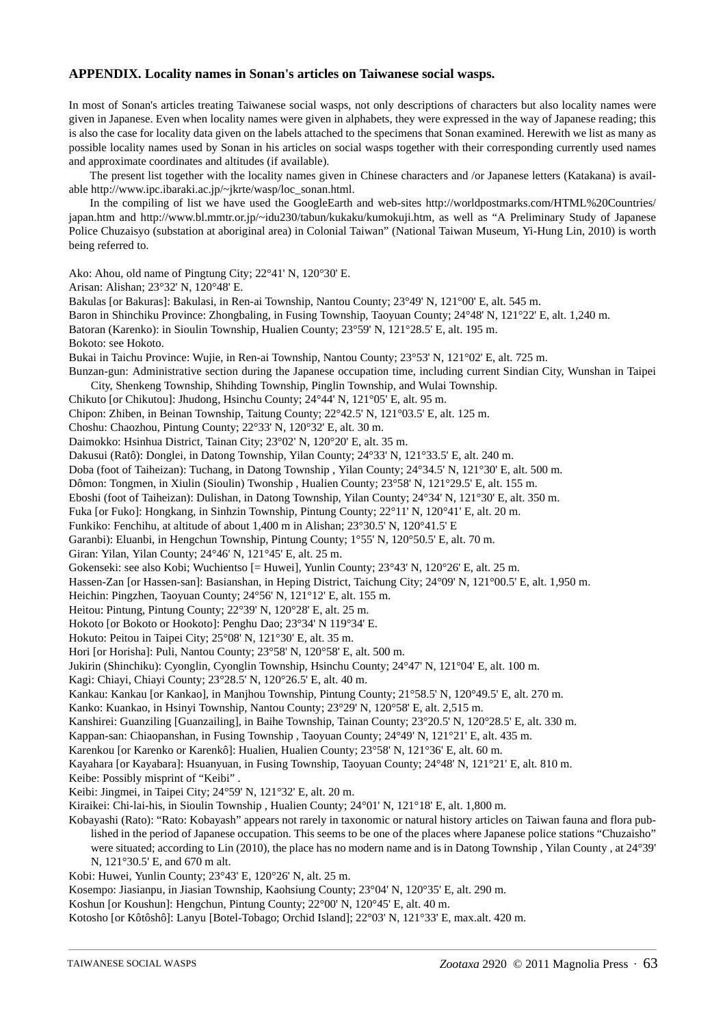### **APPENDIX. Locality names in Sonan's articles on Taiwanese social wasps.**

In most of Sonan's articles treating Taiwanese social wasps, not only descriptions of characters but also locality names were given in Japanese. Even when locality names were given in alphabets, they were expressed in the way of Japanese reading; this is also the case for locality data given on the labels attached to the specimens that Sonan examined. Herewith we list as many as possible locality names used by Sonan in his articles on social wasps together with their corresponding currently used names and approximate coordinates and altitudes (if available).

The present list together with the locality names given in Chinese characters and /or Japanese letters (Katakana) is available http://www.ipc.ibaraki.ac.jp/~jkrte/wasp/loc\_sonan.html.

In the compiling of list we have used the GoogleEarth and web-sites http://worldpostmarks.com/HTML%20Countries/ japan.htm and http://www.bl.mmtr.or.jp/~idu230/tabun/kukaku/kumokuji.htm, as well as "A Preliminary Study of Japanese Police Chuzaisyo (substation at aboriginal area) in Colonial Taiwan" (National Taiwan Museum, Yi-Hung Lin, 2010) is worth being referred to.

Ako: Ahou, old name of Pingtung City; 22°41' N, 120°30' E.

Arisan: Alishan; 23°32' N, 120°48' E.

Bakulas [or Bakuras]: Bakulasi, in Ren-ai Township, Nantou County; 23°49' N, 121°00' E, alt. 545 m. Baron in Shinchiku Province: Zhongbaling, in Fusing Township, Taoyuan County; 24°48' N, 121°22' E, alt. 1,240 m. Batoran (Karenko): in Sioulin Township, Hualien County; 23°59' N, 121°28.5' E, alt. 195 m. Bokoto: see Hokoto. Bukai in Taichu Province: Wujie, in Ren-ai Township, Nantou County; 23°53' N, 121°02' E, alt. 725 m. Bunzan-gun: Administrative section during the Japanese occupation time, including current Sindian City, Wunshan in Taipei City, Shenkeng Township, Shihding Township, Pinglin Township, and Wulai Township. Chikuto [or Chikutou]: Jhudong, Hsinchu County; 24°44' N, 121°05' E, alt. 95 m. Chipon: Zhiben, in Beinan Township, Taitung County; 22°42.5' N, 121°03.5' E, alt. 125 m. Choshu: Chaozhou, Pintung County; 22°33' N, 120°32' E, alt. 30 m. Daimokko: Hsinhua District, Tainan City; 23°02' N, 120°20' E, alt. 35 m. Dakusui (Ratô): Donglei, in Datong Township, Yilan County; 24°33' N, 121°33.5' E, alt. 240 m. Doba (foot of Taiheizan): Tuchang, in Datong Township , Yilan County; 24°34.5' N, 121°30' E, alt. 500 m. Dômon: Tongmen, in Xiulin (Sioulin) Twonship , Hualien County; 23°58' N, 121°29.5' E, alt. 155 m. Eboshi (foot of Taiheizan): Dulishan, in Datong Township, Yilan County; 24°34' N, 121°30' E, alt. 350 m. Fuka [or Fuko]: Hongkang, in Sinhzin Township, Pintung County; 22°11' N, 120°41' E, alt. 20 m. Funkiko: Fenchihu, at altitude of about 1,400 m in Alishan; 23°30.5' N, 120°41.5' E Garanbi): Eluanbi, in Hengchun Township, Pintung County; 1°55' N, 120°50.5' E, alt. 70 m. Giran: Yilan, Yilan County; 24°46' N, 121°45' E, alt. 25 m. Gokenseki: see also Kobi; Wuchientso [= Huwei], Yunlin County; 23°43' N, 120°26' E, alt. 25 m. Hassen-Zan [or Hassen-san]: Basianshan, in Heping District, Taichung City; 24°09' N, 121°00.5' E, alt. 1,950 m. Heichin: Pingzhen, Taoyuan County; 24°56' N, 121°12' E, alt. 155 m. Heitou: Pintung, Pintung County; 22°39' N, 120°28' E, alt. 25 m. Hokoto [or Bokoto or Hookoto]: Penghu Dao; 23°34' N 119°34' E. Hokuto: Peitou in Taipei City; 25°08' N, 121°30' E, alt. 35 m. Hori [or Horisha]: Puli, Nantou County; 23°58' N, 120°58' E, alt. 500 m. Jukirin (Shinchiku): Cyonglin, Cyonglin Township, Hsinchu County; 24°47' N, 121°04' E, alt. 100 m. Kagi: Chiayi, Chiayi County; 23°28.5' N, 120°26.5' E, alt. 40 m. Kankau: Kankau [or Kankao], in Manjhou Township, Pintung County; 21°58.5' N, 120°49.5' E, alt. 270 m. Kanko: Kuankao, in Hsinyi Township, Nantou County; 23°29' N, 120°58' E, alt. 2,515 m. Kanshirei: Guanziling [Guanzailing], in Baihe Township, Tainan County; 23°20.5' N, 120°28.5' E, alt. 330 m. Kappan-san: Chiaopanshan, in Fusing Township , Taoyuan County; 24°49' N, 121°21' E, alt. 435 m. Karenkou [or Karenko or Karenkô]: Hualien, Hualien County; 23°58' N, 121°36' E, alt. 60 m. Kayahara [or Kayabara]: Hsuanyuan, in Fusing Township, Taoyuan County; 24°48' N, 121°21' E, alt. 810 m. Keibe: Possibly misprint of "Keibi" . Keibi: Jingmei, in Taipei City; 24°59' N, 121°32' E, alt. 20 m. Kiraikei: Chi-lai-his, in Sioulin Township , Hualien County; 24°01' N, 121°18' E, alt. 1,800 m. Kobayashi (Rato): "Rato: Kobayash" appears not rarely in taxonomic or natural history articles on Taiwan fauna and flora published in the period of Japanese occupation. This seems to be one of the places where Japanese police stations "Chuzaisho" were situated; according to Lin (2010), the place has no modern name and is in Datong Township , Yilan County , at 24°39' N, 121°30.5' E, and 670 m alt.

Kobi: Huwei, Yunlin County; 23°43' E, 120°26' N, alt. 25 m.

Kosempo: Jiasianpu, in Jiasian Township, Kaohsiung County; 23°04' N, 120°35' E, alt. 290 m.

Koshun [or Koushun]: Hengchun, Pintung County; 22°00' N, 120°45' E, alt. 40 m.

Kotosho [or Kôtôshô]: Lanyu [Botel-Tobago; Orchid Island]; 22°03' N, 121°33' E, max.alt. 420 m.